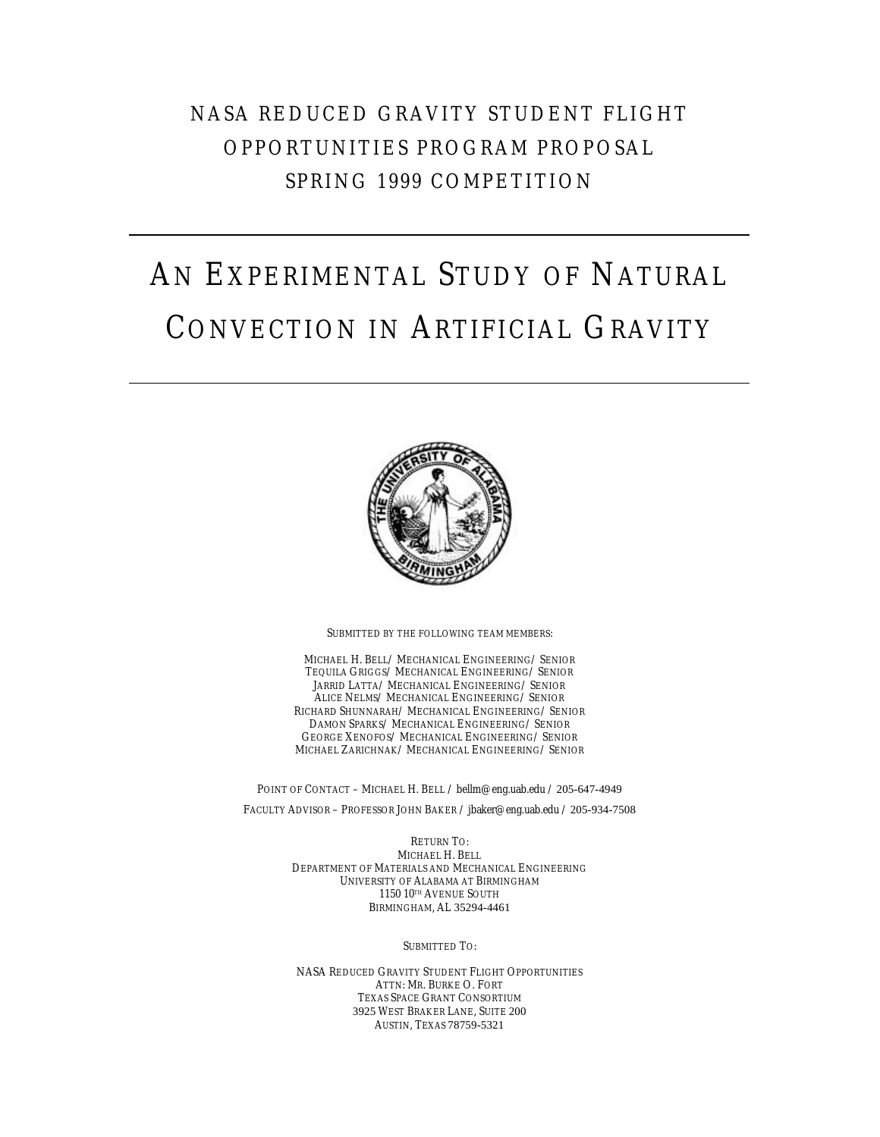# NASA REDUCED GRAVITY STUDENT FLIGHT OPPORTUNITIES PROGRAM PROPOSAL SPRING 1999 COMPETITION

 $\overline{a}$ 

 $\overline{a}$ 

# AN EXPERIMENTAL STUDY OF NATURAL CONVECTION IN ARTIFICIAL GRAVITY



SUBMITTED BY THE FOLLOWING TEAM MEMBERS:

MICHAEL H. BELL/ MECHANICAL ENGINEERING/ SENIOR TEQUILA GRIGGS/ MECHANICAL ENGINEERING/ SENIOR JARRID LATTA/ MECHANICAL ENGINEERING/ SENIOR ALICE NELMS/ MECHANICAL ENGINEERING/ SENIOR RICHARD SHUNNARAH/ MECHANICAL ENGINEERING/ SENIOR DAMON SPARKS/ MECHANICAL ENGINEERING/ SENIOR GEORGE XENOFOS/ MECHANICAL ENGINEERING/ SENIOR MICHAEL ZARICHNAK/ MECHANICAL ENGINEERING/ SENIOR

POINT OF CONTACT – MICHAEL H. BELL / bellm@eng.uab.edu / 205-647-4949

FACULTY ADVISOR – PROFESSOR JOHN BAKER / jbaker@eng.uab.edu / 205-934-7508

RETURN TO: MICHAEL H. BELL DEPARTMENT OF MATERIALS AND MECHANICAL ENGINEERING UNIVERSITY OF ALABAMA AT BIRMINGHAM 1150 10TH AVENUE SOUTH BIRMINGHAM, AL 35294-4461

SUBMITTED TO:

NASA REDUCED GRAVITY STUDENT FLIGHT OPPORTUNITIES ATTN: MR. BURKE O. FORT TEXAS SPACE GRANT CONSORTIUM 3925 WEST BRAKER LANE, SUITE 200 AUSTIN, TEXAS 78759-5321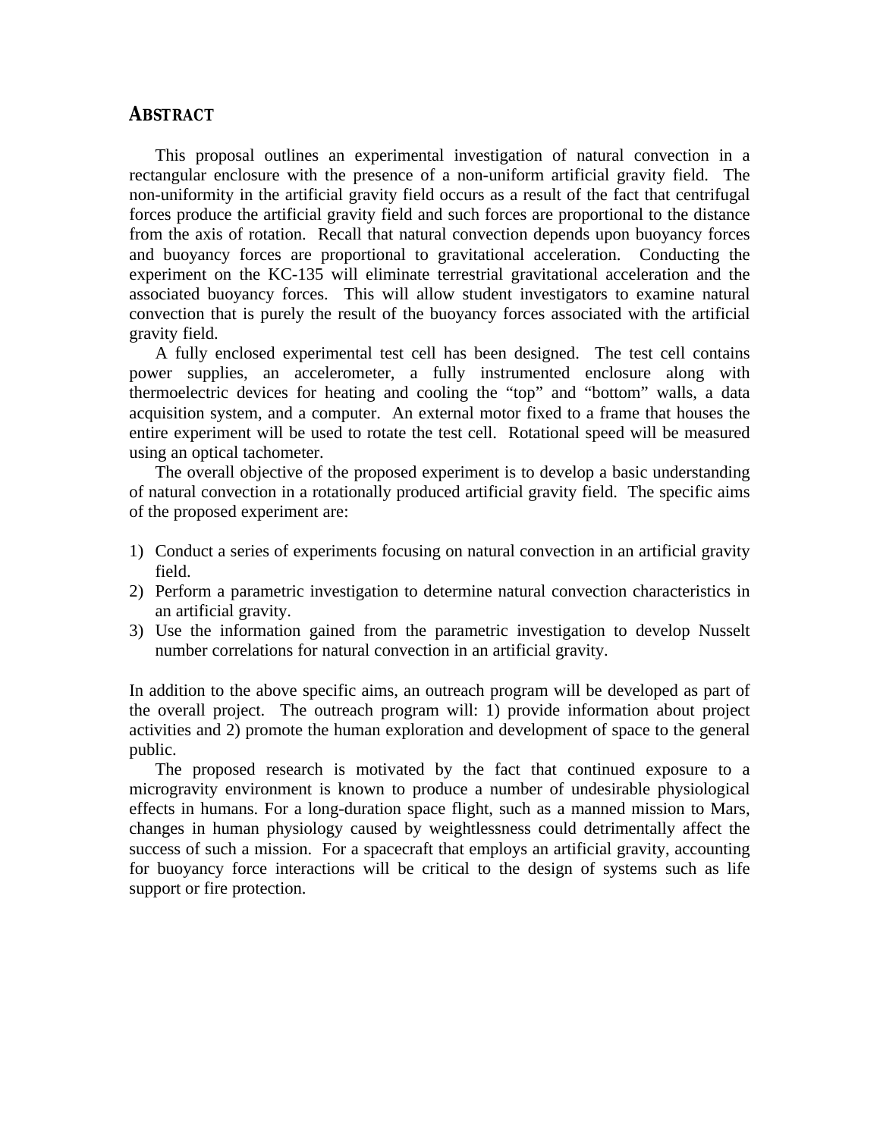### **ABSTRACT**

This proposal outlines an experimental investigation of natural convection in a rectangular enclosure with the presence of a non-uniform artificial gravity field. The non-uniformity in the artificial gravity field occurs as a result of the fact that centrifugal forces produce the artificial gravity field and such forces are proportional to the distance from the axis of rotation. Recall that natural convection depends upon buoyancy forces and buoyancy forces are proportional to gravitational acceleration. Conducting the experiment on the KC-135 will eliminate terrestrial gravitational acceleration and the associated buoyancy forces. This will allow student investigators to examine natural convection that is purely the result of the buoyancy forces associated with the artificial gravity field.

A fully enclosed experimental test cell has been designed. The test cell contains power supplies, an accelerometer, a fully instrumented enclosure along with thermoelectric devices for heating and cooling the "top" and "bottom" walls, a data acquisition system, and a computer. An external motor fixed to a frame that houses the entire experiment will be used to rotate the test cell. Rotational speed will be measured using an optical tachometer.

The overall objective of the proposed experiment is to develop a basic understanding of natural convection in a rotationally produced artificial gravity field. The specific aims of the proposed experiment are:

- 1) Conduct a series of experiments focusing on natural convection in an artificial gravity field.
- 2) Perform a parametric investigation to determine natural convection characteristics in an artificial gravity.
- 3) Use the information gained from the parametric investigation to develop Nusselt number correlations for natural convection in an artificial gravity.

In addition to the above specific aims, an outreach program will be developed as part of the overall project. The outreach program will: 1) provide information about project activities and 2) promote the human exploration and development of space to the general public.

The proposed research is motivated by the fact that continued exposure to a microgravity environment is known to produce a number of undesirable physiological effects in humans. For a long-duration space flight, such as a manned mission to Mars, changes in human physiology caused by weightlessness could detrimentally affect the success of such a mission. For a spacecraft that employs an artificial gravity, accounting for buoyancy force interactions will be critical to the design of systems such as life support or fire protection.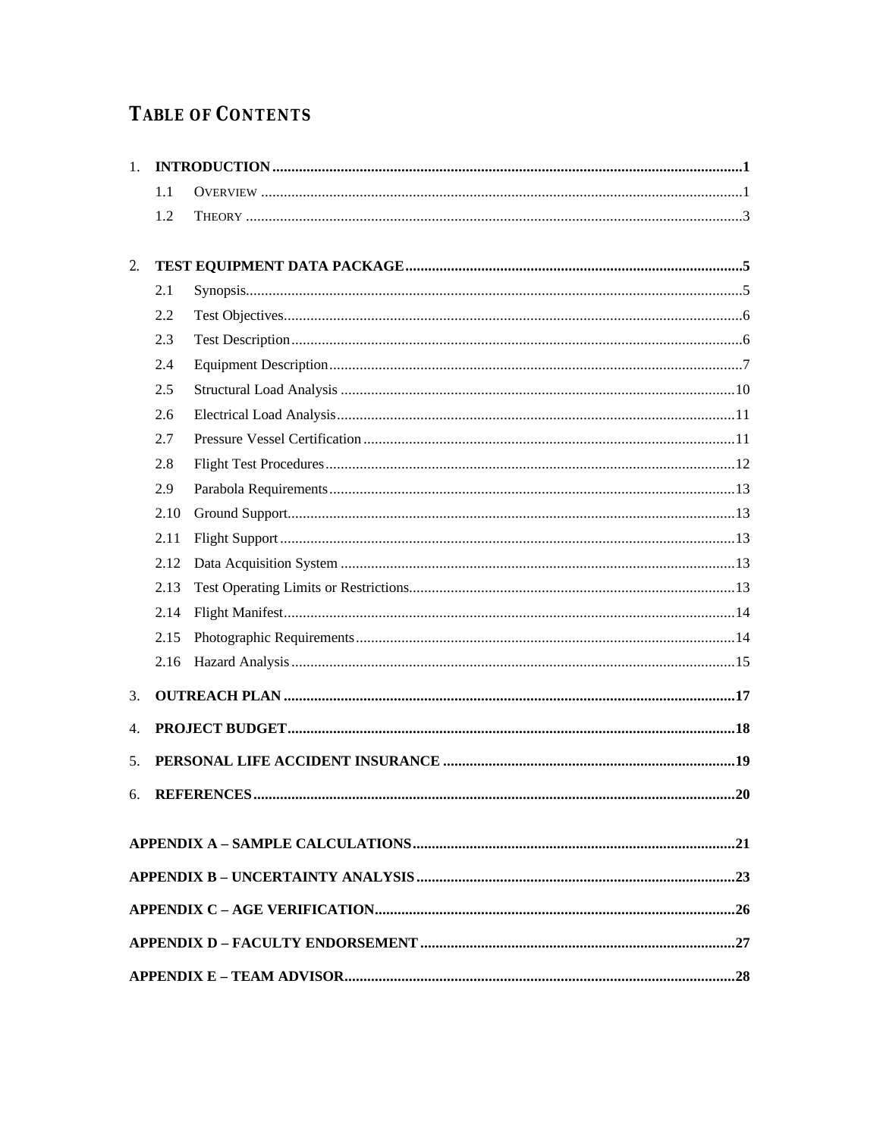### **TABLE OF CONTENTS**

|    | 1.1  |  |
|----|------|--|
|    | 1.2  |  |
| 2. |      |  |
|    | 2.1  |  |
|    | 2.2  |  |
|    | 2.3  |  |
|    | 2.4  |  |
|    | 2.5  |  |
|    | 2.6  |  |
|    | 2.7  |  |
|    | 2.8  |  |
|    | 2.9  |  |
|    | 2.10 |  |
|    | 2.11 |  |
|    | 2.12 |  |
|    | 2.13 |  |
|    | 2.14 |  |
|    | 2.15 |  |
|    | 2.16 |  |
| 3. |      |  |
| 4. |      |  |
| 5. |      |  |
| 6. |      |  |
|    |      |  |
|    |      |  |
|    |      |  |
|    |      |  |
|    |      |  |
|    |      |  |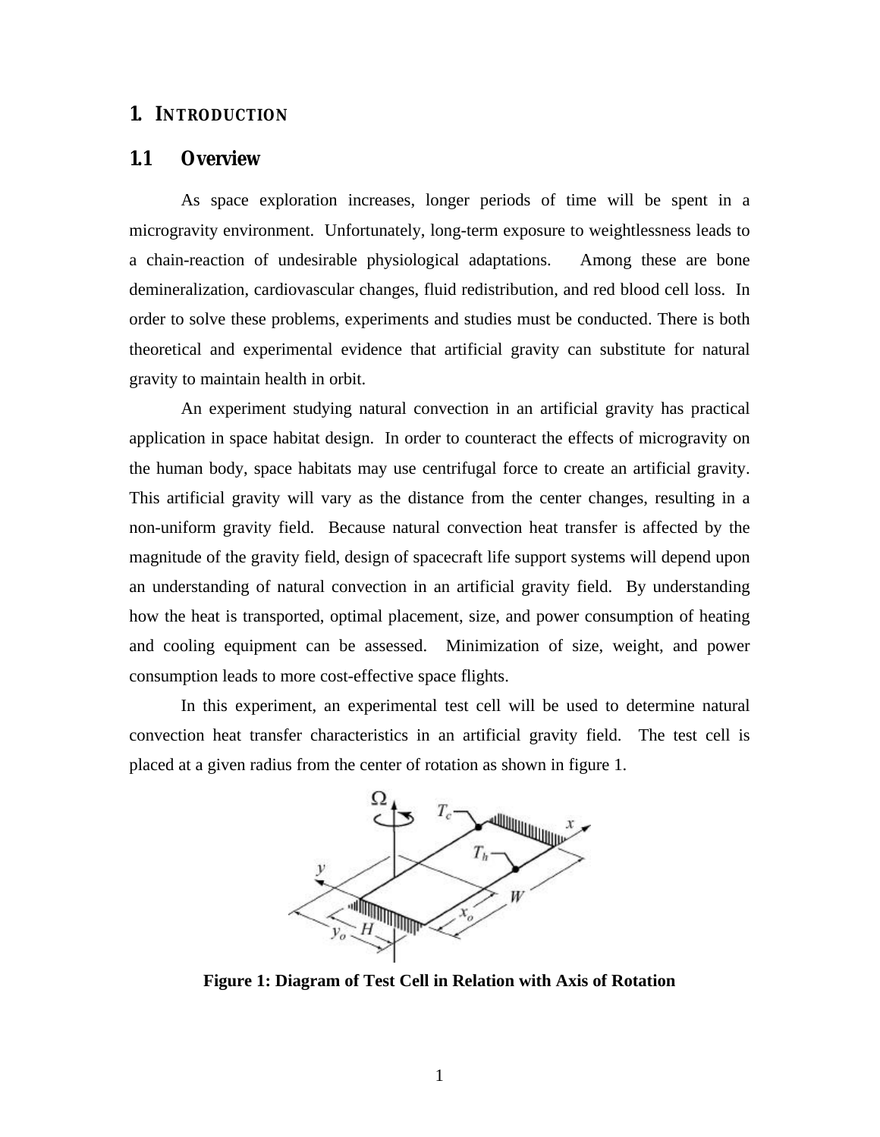#### **1. INTRODUCTION**

### **1.1 Overview**

As space exploration increases, longer periods of time will be spent in a microgravity environment. Unfortunately, long-term exposure to weightlessness leads to a chain-reaction of undesirable physiological adaptations. Among these are bone demineralization, cardiovascular changes, fluid redistribution, and red blood cell loss. In order to solve these problems, experiments and studies must be conducted. There is both theoretical and experimental evidence that artificial gravity can substitute for natural gravity to maintain health in orbit.

An experiment studying natural convection in an artificial gravity has practical application in space habitat design. In order to counteract the effects of microgravity on the human body, space habitats may use centrifugal force to create an artificial gravity. This artificial gravity will vary as the distance from the center changes, resulting in a non-uniform gravity field. Because natural convection heat transfer is affected by the magnitude of the gravity field, design of spacecraft life support systems will depend upon an understanding of natural convection in an artificial gravity field. By understanding how the heat is transported, optimal placement, size, and power consumption of heating and cooling equipment can be assessed. Minimization of size, weight, and power consumption leads to more cost-effective space flights.

In this experiment, an experimental test cell will be used to determine natural convection heat transfer characteristics in an artificial gravity field. The test cell is placed at a given radius from the center of rotation as shown in figure 1.



**Figure 1: Diagram of Test Cell in Relation with Axis of Rotation**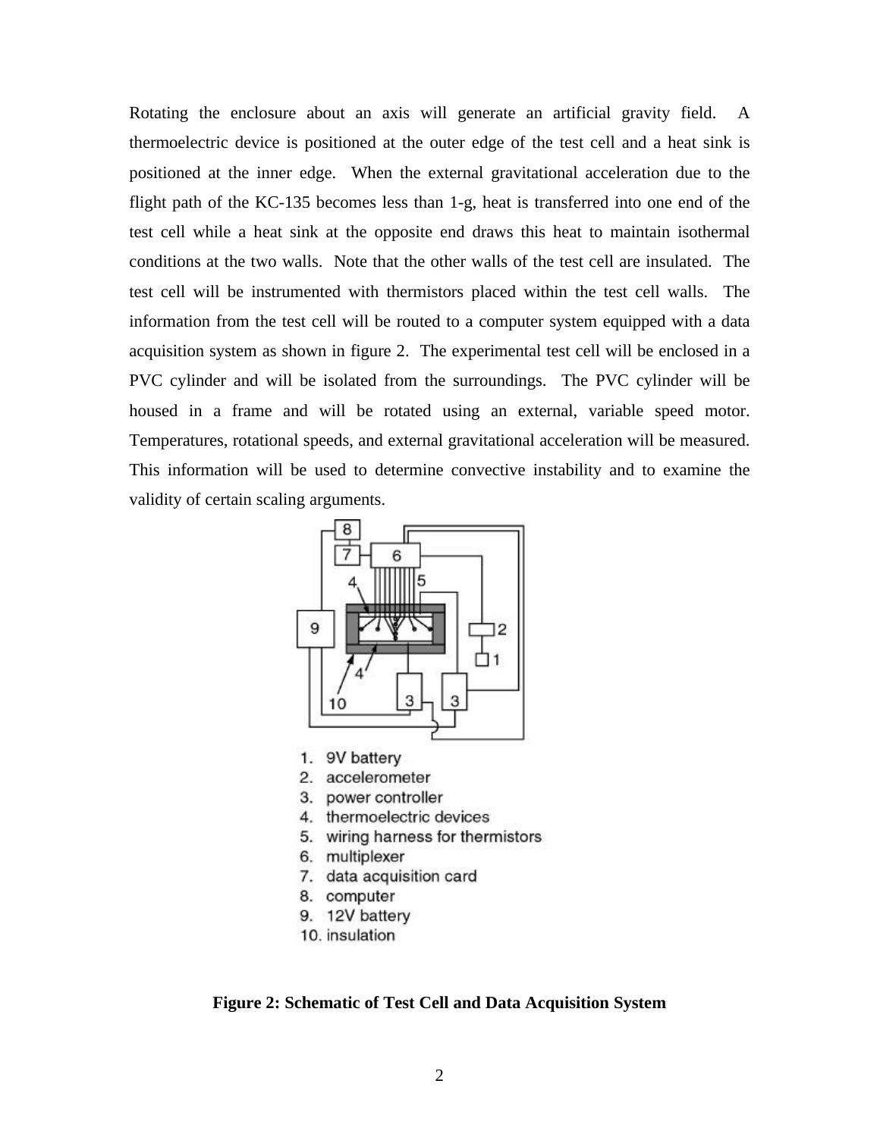Rotating the enclosure about an axis will generate an artificial gravity field. A thermoelectric device is positioned at the outer edge of the test cell and a heat sink is positioned at the inner edge. When the external gravitational acceleration due to the flight path of the KC-135 becomes less than 1-g, heat is transferred into one end of the test cell while a heat sink at the opposite end draws this heat to maintain isothermal conditions at the two walls. Note that the other walls of the test cell are insulated. The test cell will be instrumented with thermistors placed within the test cell walls. The information from the test cell will be routed to a computer system equipped with a data acquisition system as shown in figure 2. The experimental test cell will be enclosed in a PVC cylinder and will be isolated from the surroundings. The PVC cylinder will be housed in a frame and will be rotated using an external, variable speed motor. Temperatures, rotational speeds, and external gravitational acceleration will be measured. This information will be used to determine convective instability and to examine the validity of certain scaling arguments.



- 1. 9V battery
- 2. accelerometer
- 3. power controller
- 4. thermoelectric devices
- 5. wiring harness for thermistors
- 6. multiplexer
- 7. data acquisition card
- 8. computer
- 9. 12V battery
- 10. insulation

**Figure 2: Schematic of Test Cell and Data Acquisition System**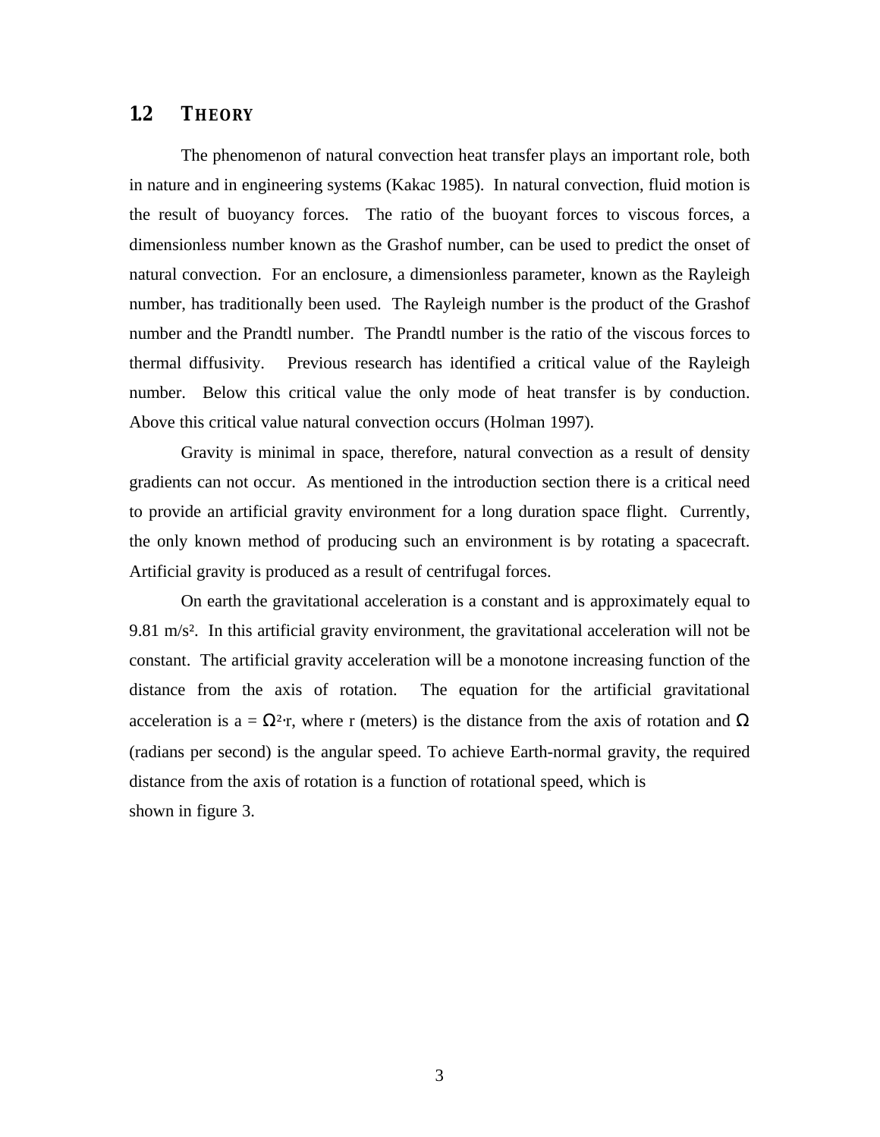### **1.2 THEORY**

The phenomenon of natural convection heat transfer plays an important role, both in nature and in engineering systems (Kakac 1985). In natural convection, fluid motion is the result of buoyancy forces. The ratio of the buoyant forces to viscous forces, a dimensionless number known as the Grashof number, can be used to predict the onset of natural convection. For an enclosure, a dimensionless parameter, known as the Rayleigh number, has traditionally been used. The Rayleigh number is the product of the Grashof number and the Prandtl number. The Prandtl number is the ratio of the viscous forces to thermal diffusivity. Previous research has identified a critical value of the Rayleigh number. Below this critical value the only mode of heat transfer is by conduction. Above this critical value natural convection occurs (Holman 1997).

Gravity is minimal in space, therefore, natural convection as a result of density gradients can not occur. As mentioned in the introduction section there is a critical need to provide an artificial gravity environment for a long duration space flight. Currently, the only known method of producing such an environment is by rotating a spacecraft. Artificial gravity is produced as a result of centrifugal forces.

On earth the gravitational acceleration is a constant and is approximately equal to 9.81 m/s². In this artificial gravity environment, the gravitational acceleration will not be constant. The artificial gravity acceleration will be a monotone increasing function of the distance from the axis of rotation. The equation for the artificial gravitational acceleration is a =  $\Omega^2$ ⋅r, where r (meters) is the distance from the axis of rotation and  $\Omega$ (radians per second) is the angular speed. To achieve Earth-normal gravity, the required distance from the axis of rotation is a function of rotational speed, which is shown in figure 3.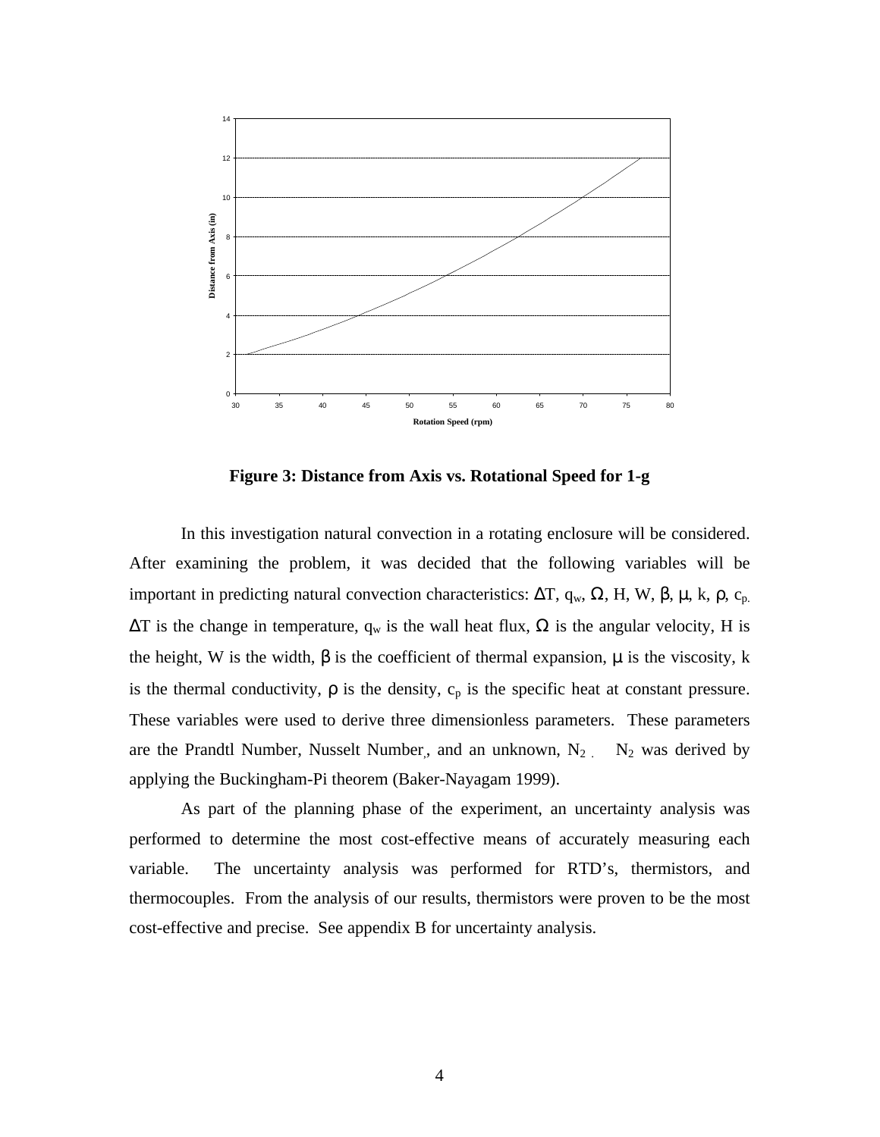

**Figure 3: Distance from Axis vs. Rotational Speed for 1-g**

In this investigation natural convection in a rotating enclosure will be considered. After examining the problem, it was decided that the following variables will be important in predicting natural convection characteristics:  $\Delta T$ , q<sub>w</sub>,  $\Omega$ , H, W,  $\beta$ , μ, k, ρ, c<sub>p.</sub>  $\Delta T$  is the change in temperature,  $q_w$  is the wall heat flux,  $\Omega$  is the angular velocity, H is the height, W is the width,  $\beta$  is the coefficient of thermal expansion,  $\mu$  is the viscosity, k is the thermal conductivity,  $\rho$  is the density,  $c_p$  is the specific heat at constant pressure. These variables were used to derive three dimensionless parameters. These parameters are the Prandtl Number, Nusselt Number, and an unknown,  $N_2$  .  $N_2$  was derived by applying the Buckingham-Pi theorem (Baker-Nayagam 1999).

As part of the planning phase of the experiment, an uncertainty analysis was performed to determine the most cost-effective means of accurately measuring each variable. The uncertainty analysis was performed for RTD's, thermistors, and thermocouples. From the analysis of our results, thermistors were proven to be the most cost-effective and precise. See appendix B for uncertainty analysis.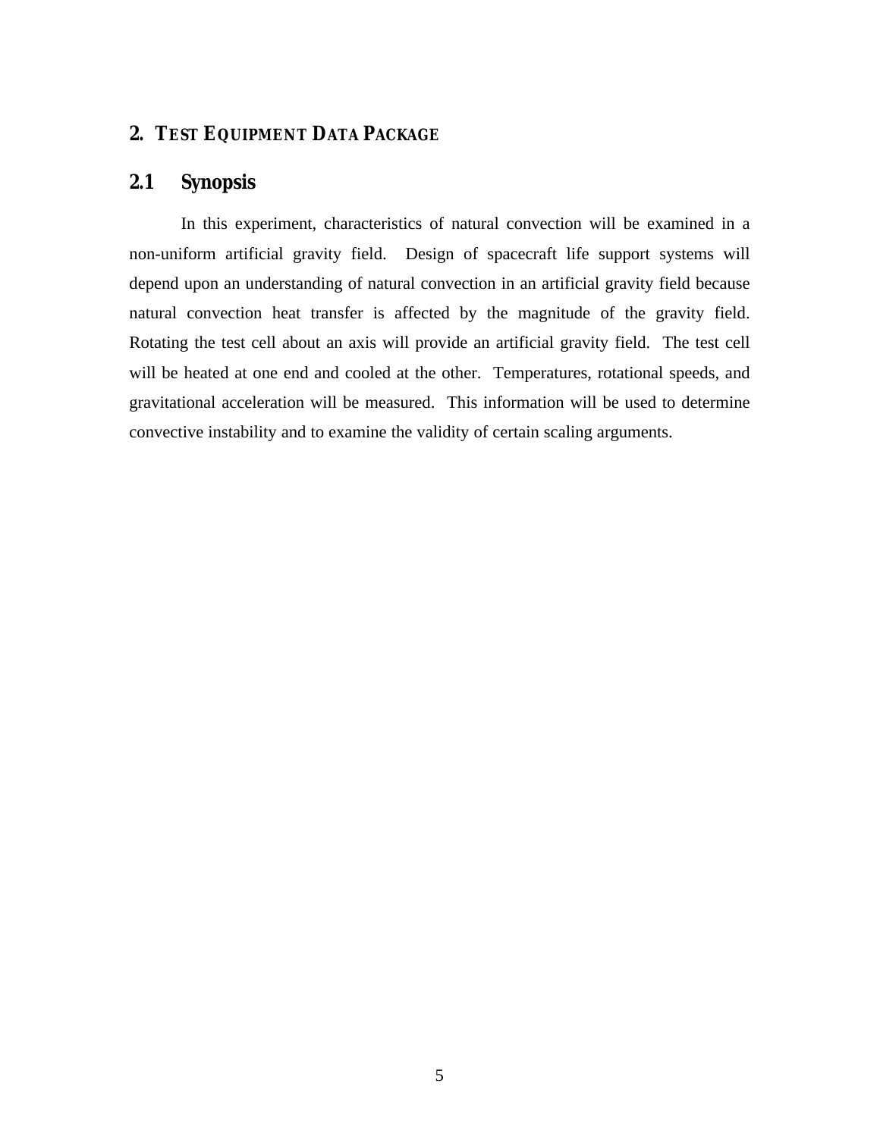### **2. TEST EQUIPMENT DATA PACKAGE**

### **2.1 Synopsis**

In this experiment, characteristics of natural convection will be examined in a non-uniform artificial gravity field. Design of spacecraft life support systems will depend upon an understanding of natural convection in an artificial gravity field because natural convection heat transfer is affected by the magnitude of the gravity field. Rotating the test cell about an axis will provide an artificial gravity field. The test cell will be heated at one end and cooled at the other. Temperatures, rotational speeds, and gravitational acceleration will be measured. This information will be used to determine convective instability and to examine the validity of certain scaling arguments.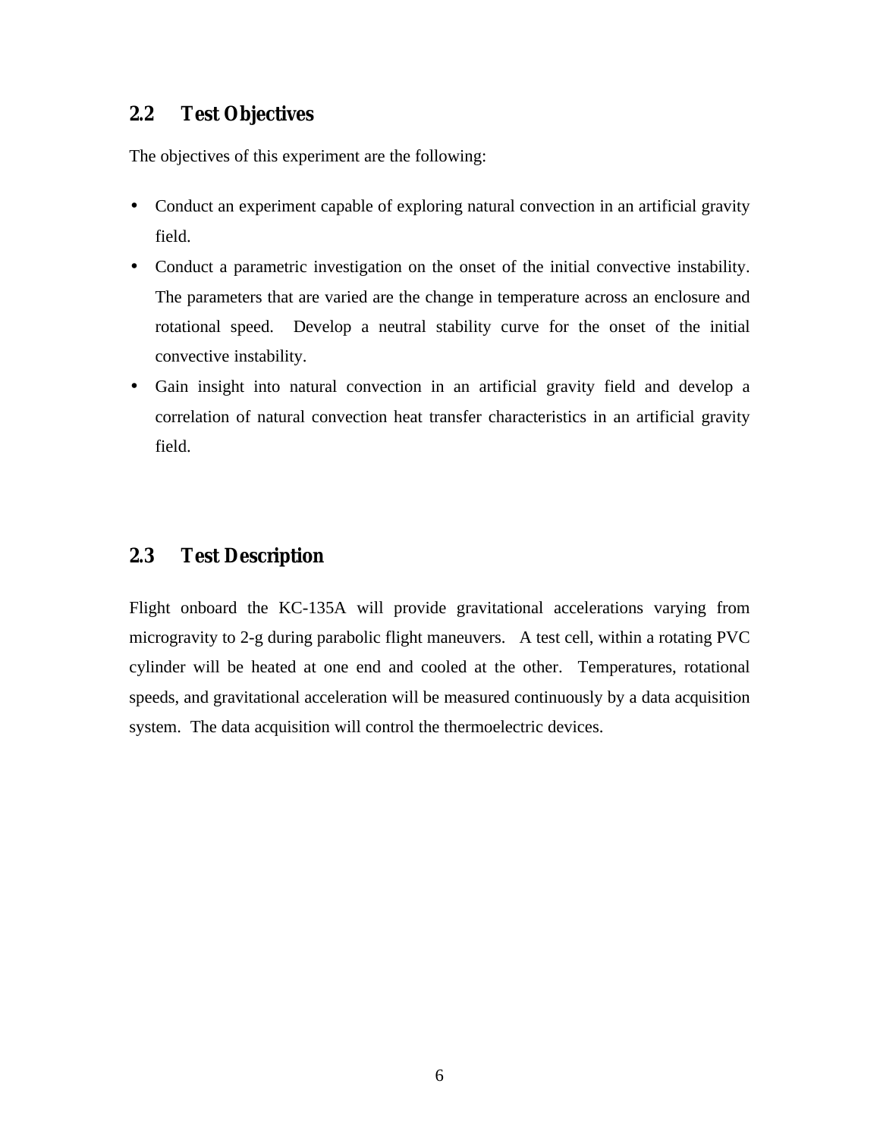### **2.2 Test Objectives**

The objectives of this experiment are the following:

- Conduct an experiment capable of exploring natural convection in an artificial gravity field.
- Conduct a parametric investigation on the onset of the initial convective instability. The parameters that are varied are the change in temperature across an enclosure and rotational speed. Develop a neutral stability curve for the onset of the initial convective instability.
- Gain insight into natural convection in an artificial gravity field and develop a correlation of natural convection heat transfer characteristics in an artificial gravity field.

### **2.3 Test Description**

Flight onboard the KC-135A will provide gravitational accelerations varying from microgravity to 2-g during parabolic flight maneuvers. A test cell, within a rotating PVC cylinder will be heated at one end and cooled at the other. Temperatures, rotational speeds, and gravitational acceleration will be measured continuously by a data acquisition system. The data acquisition will control the thermoelectric devices.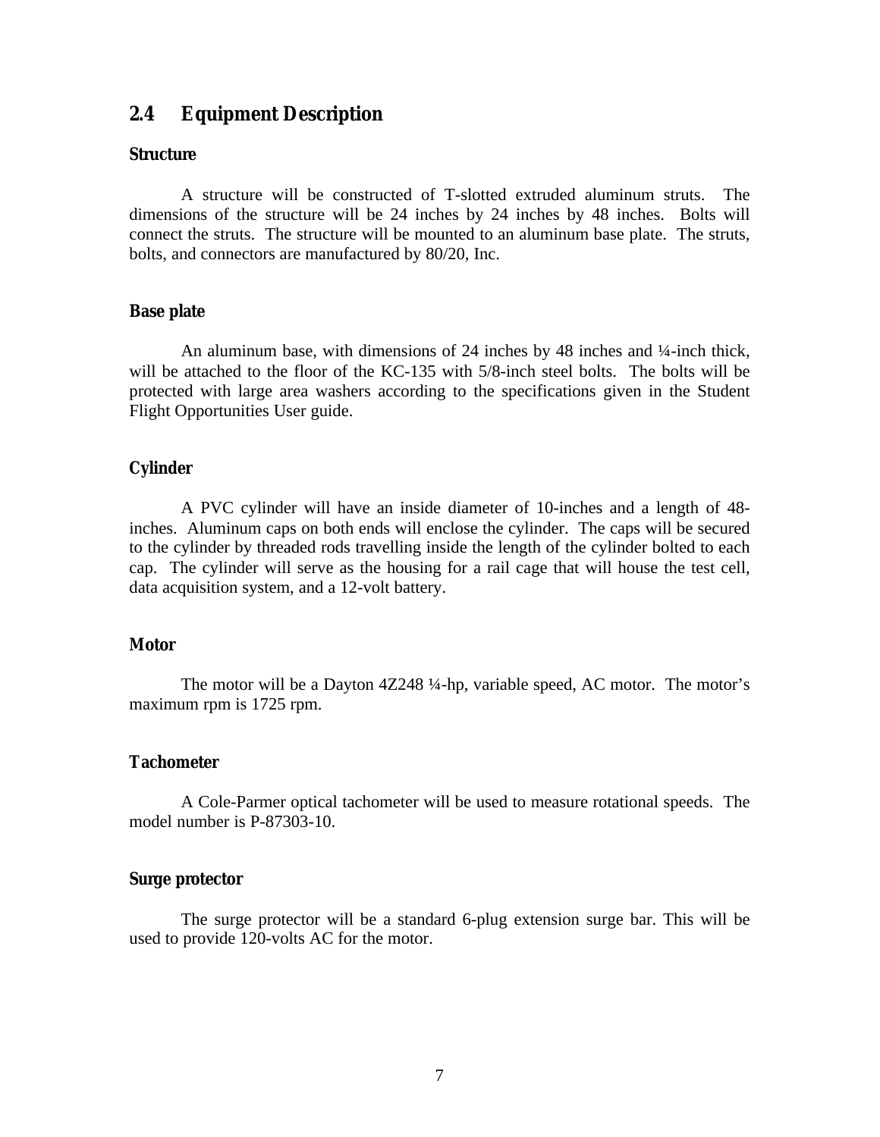### **2.4 Equipment Description**

#### **Structure**

A structure will be constructed of T-slotted extruded aluminum struts. The dimensions of the structure will be 24 inches by 24 inches by 48 inches. Bolts will connect the struts. The structure will be mounted to an aluminum base plate. The struts, bolts, and connectors are manufactured by 80/20, Inc.

#### **Base plate**

An aluminum base, with dimensions of 24 inches by 48 inches and  $\frac{1}{4}$ -inch thick, will be attached to the floor of the KC-135 with 5/8-inch steel bolts. The bolts will be protected with large area washers according to the specifications given in the Student Flight Opportunities User guide.

#### **Cylinder**

A PVC cylinder will have an inside diameter of 10-inches and a length of 48 inches. Aluminum caps on both ends will enclose the cylinder. The caps will be secured to the cylinder by threaded rods travelling inside the length of the cylinder bolted to each cap. The cylinder will serve as the housing for a rail cage that will house the test cell, data acquisition system, and a 12-volt battery.

#### **Motor**

The motor will be a Dayton 4Z248 ¼-hp, variable speed, AC motor. The motor's maximum rpm is 1725 rpm.

#### **Tachometer**

A Cole-Parmer optical tachometer will be used to measure rotational speeds. The model number is P-87303-10.

#### **Surge protector**

The surge protector will be a standard 6-plug extension surge bar. This will be used to provide 120-volts AC for the motor.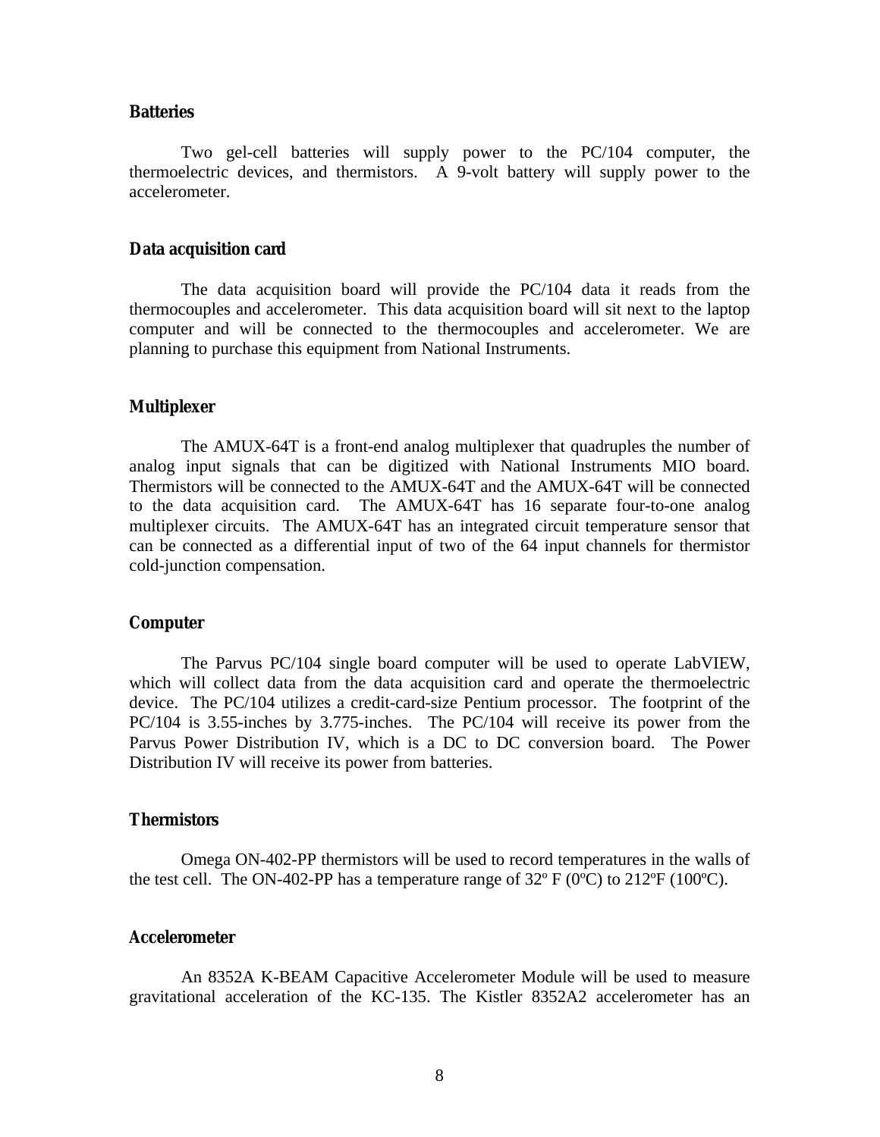#### **Batteries**

Two gel-cell batteries will supply power to the PC/104 computer, the thermoelectric devices, and thermistors. A 9-volt battery will supply power to the accelerometer.

#### **Data acquisition card**

The data acquisition board will provide the PC/104 data it reads from the thermocouples and accelerometer. This data acquisition board will sit next to the laptop computer and will be connected to the thermocouples and accelerometer. We are planning to purchase this equipment from National Instruments.

#### **Multiplexer**

The AMUX-64T is a front-end analog multiplexer that quadruples the number of analog input signals that can be digitized with National Instruments MIO board. Thermistors will be connected to the AMUX-64T and the AMUX-64T will be connected to the data acquisition card. The AMUX-64T has 16 separate four-to-one analog multiplexer circuits. The AMUX-64T has an integrated circuit temperature sensor that can be connected as a differential input of two of the 64 input channels for thermistor cold-junction compensation.

#### **Computer**

The Parvus PC/104 single board computer will be used to operate LabVIEW, which will collect data from the data acquisition card and operate the thermoelectric device. The PC/104 utilizes a credit-card-size Pentium processor. The footprint of the PC/104 is 3.55-inches by 3.775-inches. The PC/104 will receive its power from the Parvus Power Distribution IV, which is a DC to DC conversion board. The Power Distribution IV will receive its power from batteries.

#### **Thermistors**

Omega ON-402-PP thermistors will be used to record temperatures in the walls of the test cell. The ON-402-PP has a temperature range of  $32^{\circ}$  F (0°C) to  $212^{\circ}$ F (100°C).

#### **Accelerometer**

An 8352A K-BEAM Capacitive Accelerometer Module will be used to measure gravitational acceleration of the KC-135. The Kistler 8352A2 accelerometer has an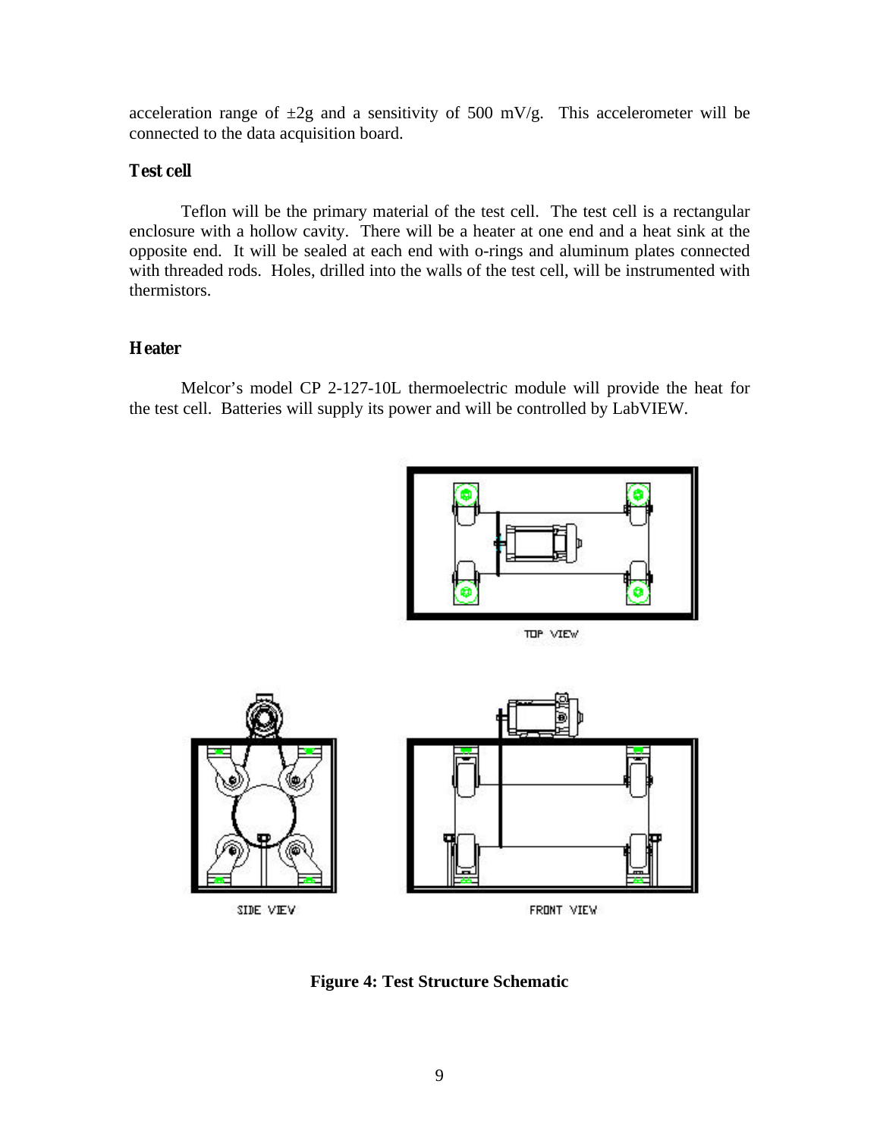acceleration range of  $\pm 2g$  and a sensitivity of 500 mV/g. This accelerometer will be connected to the data acquisition board.

### **Test cell**

Teflon will be the primary material of the test cell. The test cell is a rectangular enclosure with a hollow cavity. There will be a heater at one end and a heat sink at the opposite end. It will be sealed at each end with o-rings and aluminum plates connected with threaded rods. Holes, drilled into the walls of the test cell, will be instrumented with thermistors.

### **Heater**

Melcor's model CP 2-127-10L thermoelectric module will provide the heat for the test cell. Batteries will supply its power and will be controlled by LabVIEW.



**Figure 4: Test Structure Schematic**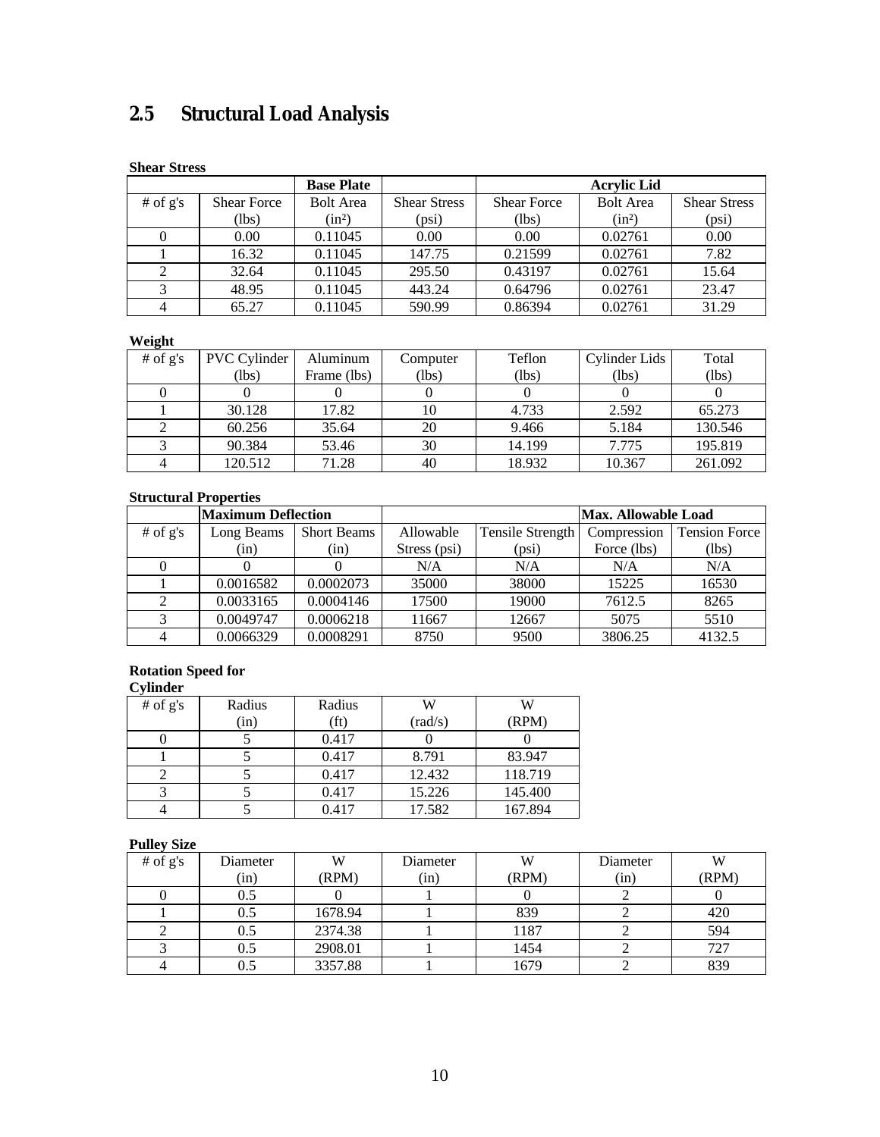# **2.5 Structural Load Analysis**

#### **Shear Stress**

|            |                    | <b>Base Plate</b> |                     | <b>Acrylic Lid</b> |                  |                     |
|------------|--------------------|-------------------|---------------------|--------------------|------------------|---------------------|
| # of $g's$ | <b>Shear Force</b> | <b>Bolt Area</b>  | <b>Shear Stress</b> | <b>Shear Force</b> | <b>Bolt Area</b> | <b>Shear Stress</b> |
|            | (lbs)              | $(in^2)$          | (psi)               | (lbs)              | $(in^2)$         | (psi)               |
|            | 0.00               | 0.11045           | 0.00                | 0.00               | 0.02761          | 0.00                |
|            | 16.32              | 0.11045           | 147.75              | 0.21599            | 0.02761          | 7.82                |
|            | 32.64              | 0.11045           | 295.50              | 0.43197            | 0.02761          | 15.64               |
| 3          | 48.95              | 0.11045           | 443.24              | 0.64796            | 0.02761          | 23.47               |
|            | 65.27              | 0.11045           | 590.99              | 0.86394            | 0.02761          | 31.29               |

#### **Weight**

| $\bullet$<br># of $g's$ | <b>PVC Cylinder</b> | Aluminum    | Computer | Teflon | Cylinder Lids | Total   |
|-------------------------|---------------------|-------------|----------|--------|---------------|---------|
|                         | (lbs)               | Frame (lbs) | (lbs)    | (lbs)  | (lbs)         | (lbs)   |
|                         |                     |             |          |        |               |         |
|                         | 30.128              | 17.82       |          | 4.733  | 2.592         | 65.273  |
|                         | 60.256              | 35.64       | 20       | 9.466  | 5.184         | 130.546 |
|                         | 90.384              | 53.46       | 30       | 14.199 | 7.775         | 195.819 |
|                         | 120.512             | 71.28       | 40       | 18.932 | 10.367        | 261.092 |

#### **Structural Properties**

| <b>Maximum Deflection</b> |            |                    | Max. Allowable Load |                  |             |                      |
|---------------------------|------------|--------------------|---------------------|------------------|-------------|----------------------|
| # of $g's$                | Long Beams | <b>Short Beams</b> | Allowable           | Tensile Strength | Compression | <b>Tension Force</b> |
|                           | (in)       | (in)               | Stress (psi)        | (psi)            | Force (lbs) | (lbs)                |
|                           |            |                    | N/A                 | N/A              | N/A         | N/A                  |
|                           | 0.0016582  | 0.0002073          | 35000               | 38000            | 15225       | 16530                |
| 2                         | 0.0033165  | 0.0004146          | 17500               | 19000            | 7612.5      | 8265                 |
| 3                         | 0.0049747  | 0.0006218          | 11667               | 12667            | 5075        | 5510                 |
|                           | 0.0066329  | 0.0008291          | 8750                | 9500             | 3806.25     | 4132.5               |

#### **Rotation Speed for**

#### **Cylinder**

| # of $g's$ | Radius | Radius            | W                | W       |
|------------|--------|-------------------|------------------|---------|
|            | (in)   | (f <sub>t</sub> ) | $\text{(rad/s)}$ | (RPM)   |
|            |        | 0.417             |                  |         |
|            |        | 0.417             | 8.791            | 83.947  |
|            |        | 0.417             | 12.432           | 118.719 |
|            |        | 0.417             | 15.226           | 145.400 |
|            |        | 0.417             | 17.582           | 167.894 |

#### **Pulley Size**

| # of $g's$ | Diameter | W       | Diameter | W     | Diameter | W     |
|------------|----------|---------|----------|-------|----------|-------|
|            | (in)     | (RPM)   | (in)     | (RPM) | (in)     | (RPM) |
|            | 0.5      |         |          |       |          |       |
|            | 0.5      | 1678.94 |          | 839   |          | 420   |
|            | 0.5      | 2374.38 |          | 1187  |          | 594   |
|            | 0.5      | 2908.01 |          | 1454  |          |       |
|            | 0.5      | 3357.88 |          | 1679  |          | 839   |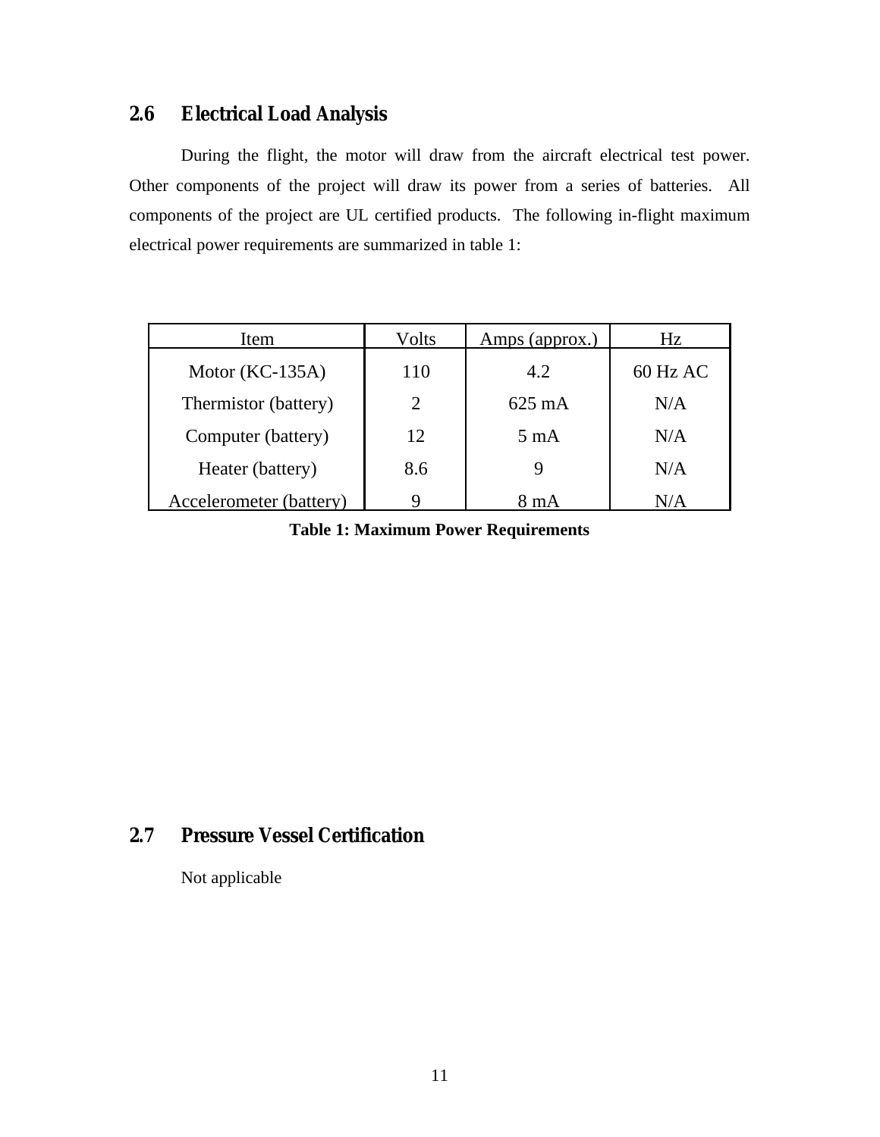### **2.6 Electrical Load Analysis**

During the flight, the motor will draw from the aircraft electrical test power. Other components of the project will draw its power from a series of batteries. All components of the project are UL certified products. The following in-flight maximum electrical power requirements are summarized in table 1:

| Item                    | Volts | Amps (approx.)   | Hz         |
|-------------------------|-------|------------------|------------|
| Motor $(KC-135A)$       | 110   | 4.2              | $60$ Hz AC |
| Thermistor (battery)    | 2     | $625 \text{ mA}$ | N/A        |
| Computer (battery)      | 12    | $5 \text{ mA}$   | N/A        |
| Heater (battery)        | 8.6   | 9                | N/A        |
| Accelerometer (battery) | Q     | $8 \text{ mA}$   | N/A        |

**Table 1: Maximum Power Requirements**

### **2.7 Pressure Vessel Certification**

Not applicable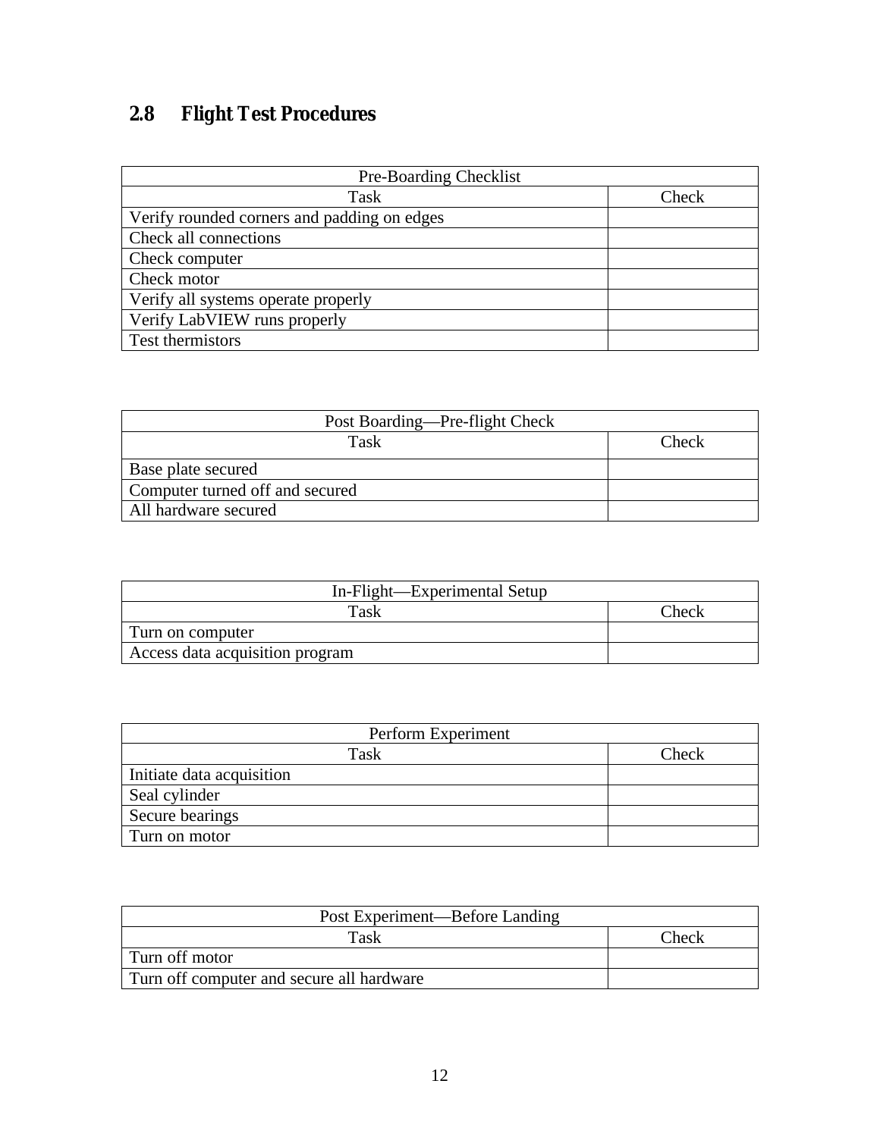# **2.8 Flight Test Procedures**

| <b>Pre-Boarding Checklist</b>               |       |  |  |  |
|---------------------------------------------|-------|--|--|--|
| <b>Task</b>                                 | Check |  |  |  |
| Verify rounded corners and padding on edges |       |  |  |  |
| Check all connections                       |       |  |  |  |
| Check computer                              |       |  |  |  |
| Check motor                                 |       |  |  |  |
| Verify all systems operate properly         |       |  |  |  |
| Verify LabVIEW runs properly                |       |  |  |  |
| Test thermistors                            |       |  |  |  |

| Post Boarding—Pre-flight Check  |       |  |  |  |  |
|---------------------------------|-------|--|--|--|--|
| Task                            | Check |  |  |  |  |
| Base plate secured              |       |  |  |  |  |
| Computer turned off and secured |       |  |  |  |  |
| All hardware secured            |       |  |  |  |  |

| In-Flight-Experimental Setup    |       |  |  |  |
|---------------------------------|-------|--|--|--|
| Task                            | Check |  |  |  |
| Turn on computer                |       |  |  |  |
| Access data acquisition program |       |  |  |  |

| Perform Experiment        |       |
|---------------------------|-------|
| Task                      | Check |
| Initiate data acquisition |       |
| Seal cylinder             |       |
| Secure bearings           |       |
| Turn on motor             |       |

| Post Experiment—Before Landing            |       |
|-------------------------------------------|-------|
| Task                                      | Check |
| Turn off motor                            |       |
| Turn off computer and secure all hardware |       |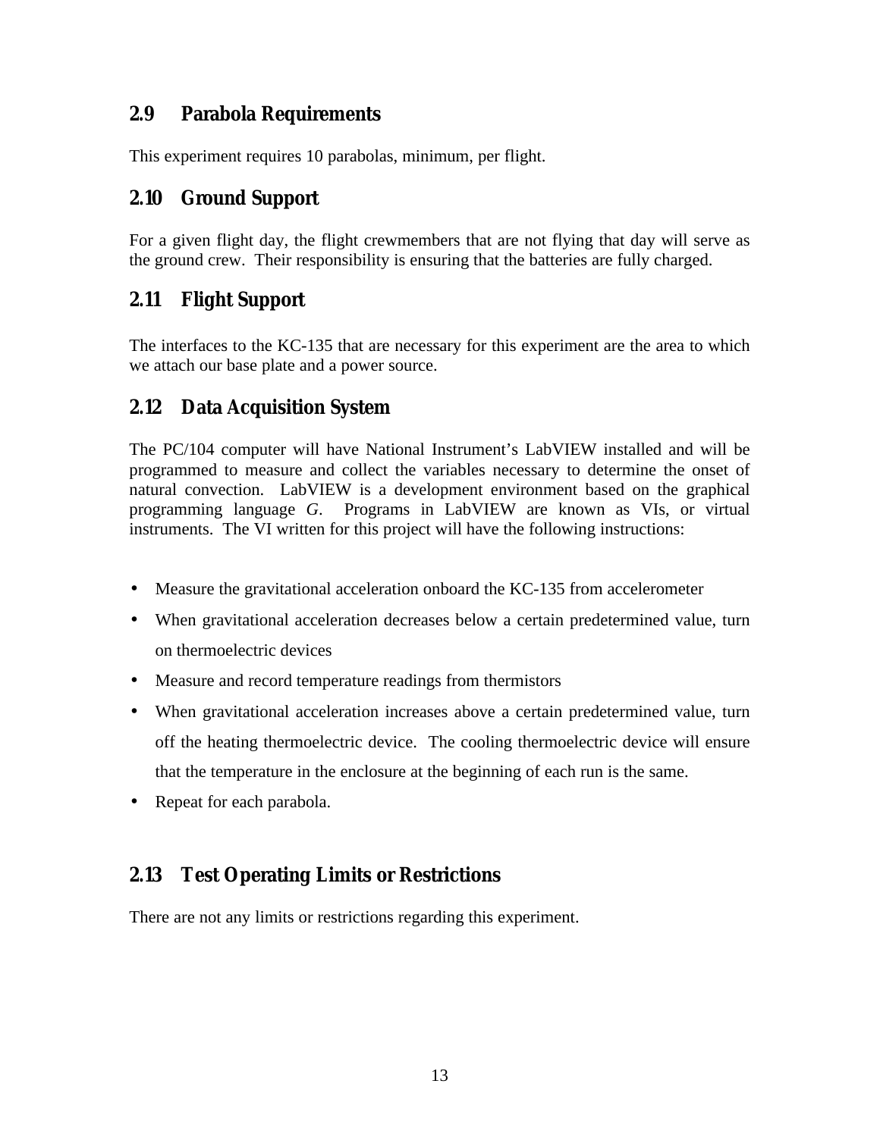### **2.9 Parabola Requirements**

This experiment requires 10 parabolas, minimum, per flight.

### **2.10 Ground Support**

For a given flight day, the flight crewmembers that are not flying that day will serve as the ground crew. Their responsibility is ensuring that the batteries are fully charged.

### **2.11 Flight Support**

The interfaces to the KC-135 that are necessary for this experiment are the area to which we attach our base plate and a power source.

### **2.12 Data Acquisition System**

The PC/104 computer will have National Instrument's LabVIEW installed and will be programmed to measure and collect the variables necessary to determine the onset of natural convection. LabVIEW is a development environment based on the graphical programming language *G*. Programs in LabVIEW are known as VIs, or virtual instruments. The VI written for this project will have the following instructions:

- Measure the gravitational acceleration onboard the KC-135 from accelerometer
- When gravitational acceleration decreases below a certain predetermined value, turn on thermoelectric devices
- Measure and record temperature readings from thermistors
- When gravitational acceleration increases above a certain predetermined value, turn off the heating thermoelectric device. The cooling thermoelectric device will ensure that the temperature in the enclosure at the beginning of each run is the same.
- Repeat for each parabola.

### **2.13 Test Operating Limits or Restrictions**

There are not any limits or restrictions regarding this experiment.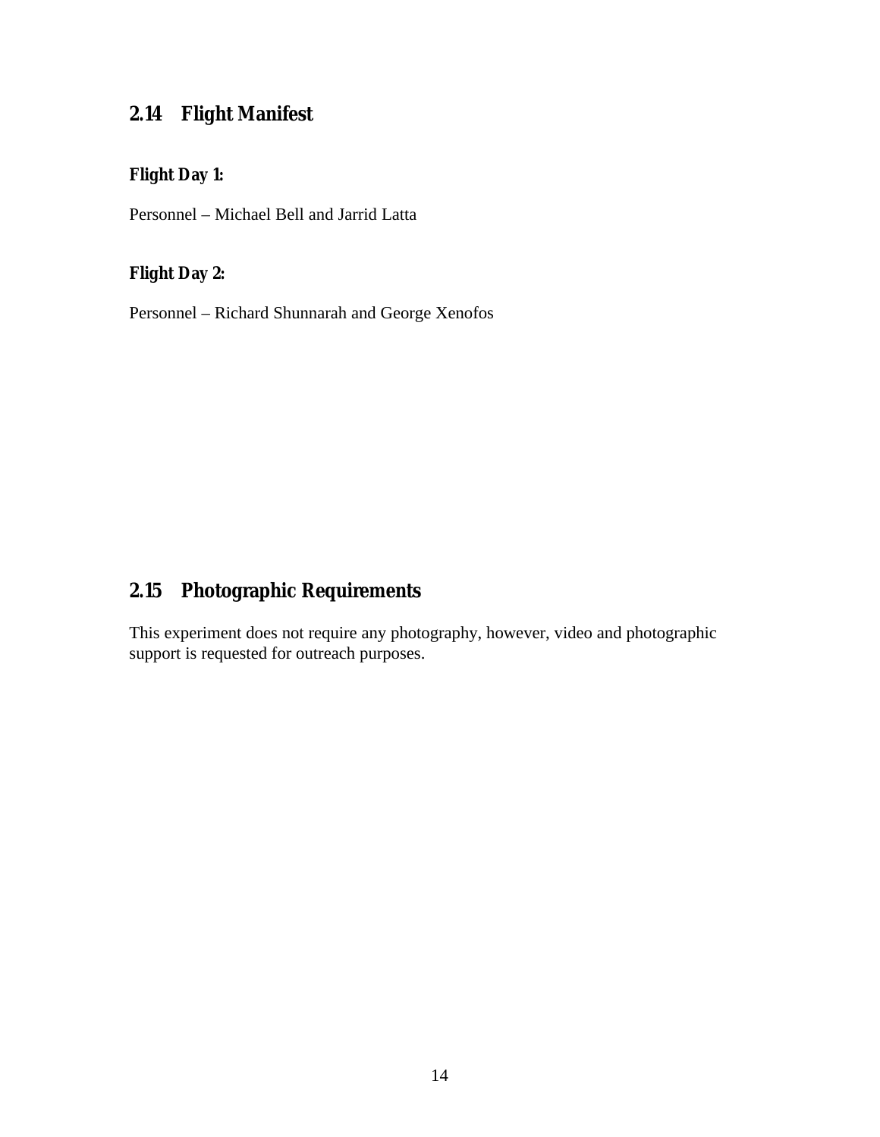# **2.14 Flight Manifest**

### **Flight Day 1:**

Personnel – Michael Bell and Jarrid Latta

### **Flight Day 2:**

Personnel – Richard Shunnarah and George Xenofos

# **2.15 Photographic Requirements**

This experiment does not require any photography, however, video and photographic support is requested for outreach purposes.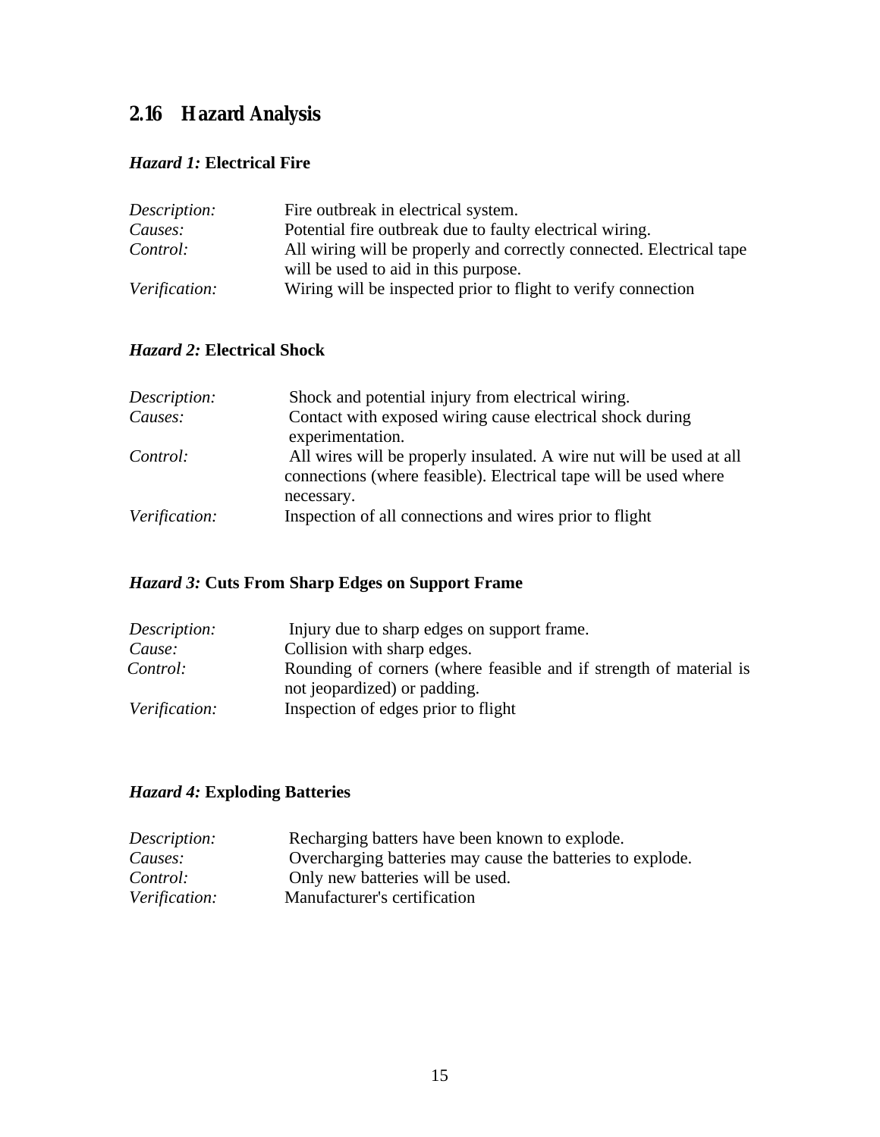# **2.16 Hazard Analysis**

### *Hazard 1:* **Electrical Fire**

| Description:  | Fire outbreak in electrical system.                                  |
|---------------|----------------------------------------------------------------------|
| Causes:       | Potential fire outbreak due to faulty electrical wiring.             |
| Control:      | All wiring will be properly and correctly connected. Electrical tape |
|               | will be used to aid in this purpose.                                 |
| Verification: | Wiring will be inspected prior to flight to verify connection        |

### *Hazard 2:* **Electrical Shock**

| Description:  | Shock and potential injury from electrical wiring.                   |
|---------------|----------------------------------------------------------------------|
| Causes:       | Contact with exposed wiring cause electrical shock during            |
|               | experimentation.                                                     |
| Control:      | All wires will be properly insulated. A wire nut will be used at all |
|               | connections (where feasible). Electrical tape will be used where     |
|               | necessary.                                                           |
| Verification: | Inspection of all connections and wires prior to flight              |

### *Hazard 3:* **Cuts From Sharp Edges on Support Frame**

| Description:    | Injury due to sharp edges on support frame.                        |
|-----------------|--------------------------------------------------------------------|
| Cause:          | Collision with sharp edges.                                        |
| <i>Control:</i> | Rounding of corners (where feasible and if strength of material is |
|                 | not jeopardized) or padding.                                       |
| Verification:   | Inspection of edges prior to flight                                |

### *Hazard 4:* **Exploding Batteries**

| Description:  | Recharging batters have been known to explode.             |
|---------------|------------------------------------------------------------|
| Causes:       | Overcharging batteries may cause the batteries to explode. |
| Control:      | Only new batteries will be used.                           |
| Verification: | Manufacturer's certification                               |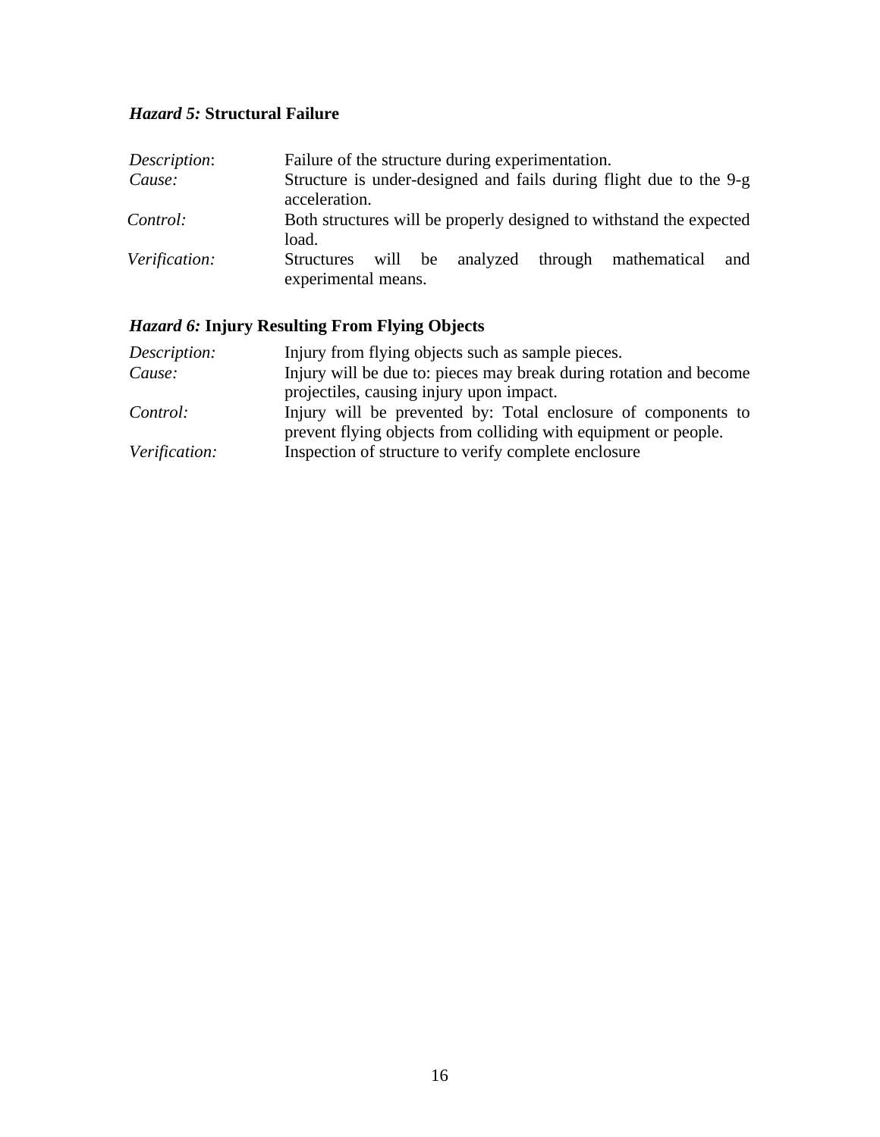### *Hazard 5:* **Structural Failure**

| Description:  | Failure of the structure during experimentation.                                         |
|---------------|------------------------------------------------------------------------------------------|
| Cause:        | Structure is under-designed and fails during flight due to the 9-g<br>acceleration.      |
| Control:      | Both structures will be properly designed to withstand the expected<br>load.             |
| Verification: | will be analyzed through mathematical<br>and<br><b>Structures</b><br>experimental means. |

# *Hazard 6:* **Injury Resulting From Flying Objects**

| Description:  | Injury from flying objects such as sample pieces.                  |
|---------------|--------------------------------------------------------------------|
| Cause:        | Injury will be due to: pieces may break during rotation and become |
|               | projectiles, causing injury upon impact.                           |
| Control:      | Injury will be prevented by: Total enclosure of components to      |
|               | prevent flying objects from colliding with equipment or people.    |
| Verification: | Inspection of structure to verify complete enclosure               |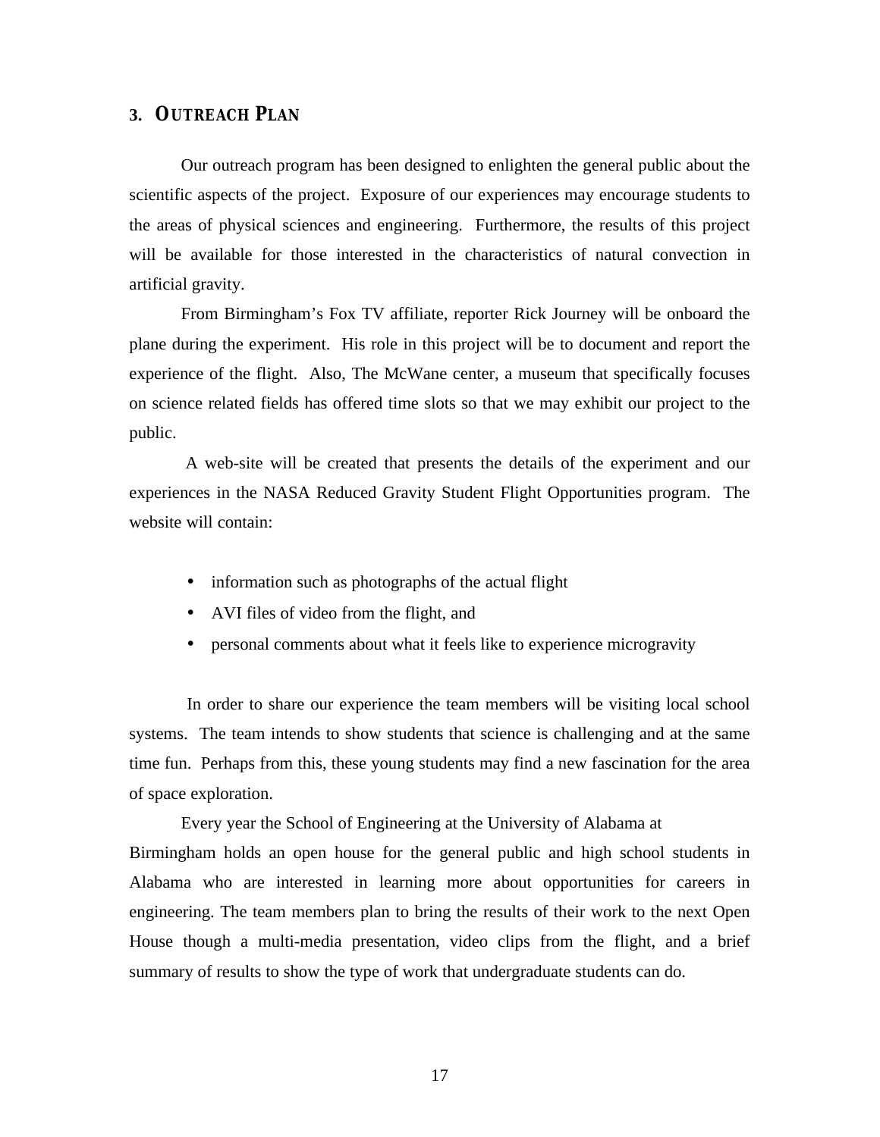### **3. OUTREACH PLAN**

Our outreach program has been designed to enlighten the general public about the scientific aspects of the project. Exposure of our experiences may encourage students to the areas of physical sciences and engineering. Furthermore, the results of this project will be available for those interested in the characteristics of natural convection in artificial gravity.

From Birmingham's Fox TV affiliate, reporter Rick Journey will be onboard the plane during the experiment. His role in this project will be to document and report the experience of the flight. Also, The McWane center, a museum that specifically focuses on science related fields has offered time slots so that we may exhibit our project to the public.

 A web-site will be created that presents the details of the experiment and our experiences in the NASA Reduced Gravity Student Flight Opportunities program. The website will contain:

- information such as photographs of the actual flight
- AVI files of video from the flight, and
- personal comments about what it feels like to experience microgravity

 In order to share our experience the team members will be visiting local school systems. The team intends to show students that science is challenging and at the same time fun. Perhaps from this, these young students may find a new fascination for the area of space exploration.

Every year the School of Engineering at the University of Alabama at Birmingham holds an open house for the general public and high school students in Alabama who are interested in learning more about opportunities for careers in engineering. The team members plan to bring the results of their work to the next Open House though a multi-media presentation, video clips from the flight, and a brief summary of results to show the type of work that undergraduate students can do.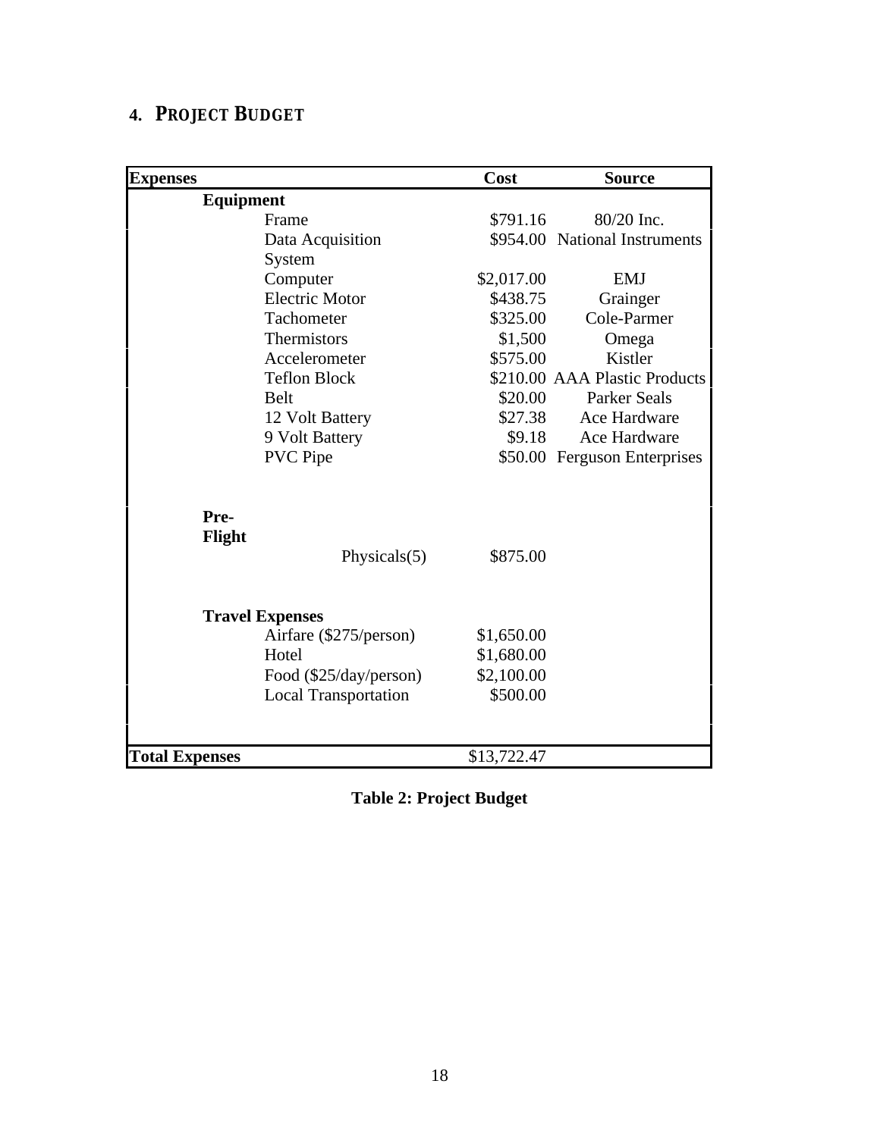# **4. PROJECT BUDGET**

| <b>Expenses</b>        |                             | Cost        | <b>Source</b>                 |
|------------------------|-----------------------------|-------------|-------------------------------|
| <b>Equipment</b>       |                             |             |                               |
|                        | Frame                       | \$791.16    | 80/20 Inc.                    |
|                        | Data Acquisition            |             | \$954.00 National Instruments |
|                        | System                      |             |                               |
|                        | Computer                    | \$2,017.00  | <b>EMJ</b>                    |
|                        | <b>Electric Motor</b>       | \$438.75    | Grainger                      |
|                        | Tachometer                  | \$325.00    | Cole-Parmer                   |
|                        | Thermistors                 | \$1,500     | Omega                         |
|                        | Accelerometer               | \$575.00    | Kistler                       |
|                        | <b>Teflon Block</b>         |             | \$210.00 AAA Plastic Products |
|                        | <b>Belt</b>                 | \$20.00     | <b>Parker Seals</b>           |
|                        | 12 Volt Battery             | \$27.38     | Ace Hardware                  |
|                        | 9 Volt Battery              | \$9.18      | Ace Hardware                  |
|                        | <b>PVC</b> Pipe             |             | \$50.00 Ferguson Enterprises  |
| Pre-<br>Flight         | Physicals $(5)$             | \$875.00    |                               |
| <b>Travel Expenses</b> |                             |             |                               |
|                        | Airfare (\$275/person)      | \$1,650.00  |                               |
|                        | Hotel                       | \$1,680.00  |                               |
|                        | Food (\$25/day/person)      | \$2,100.00  |                               |
|                        | <b>Local Transportation</b> | \$500.00    |                               |
| <b>Total Expenses</b>  |                             | \$13,722.47 |                               |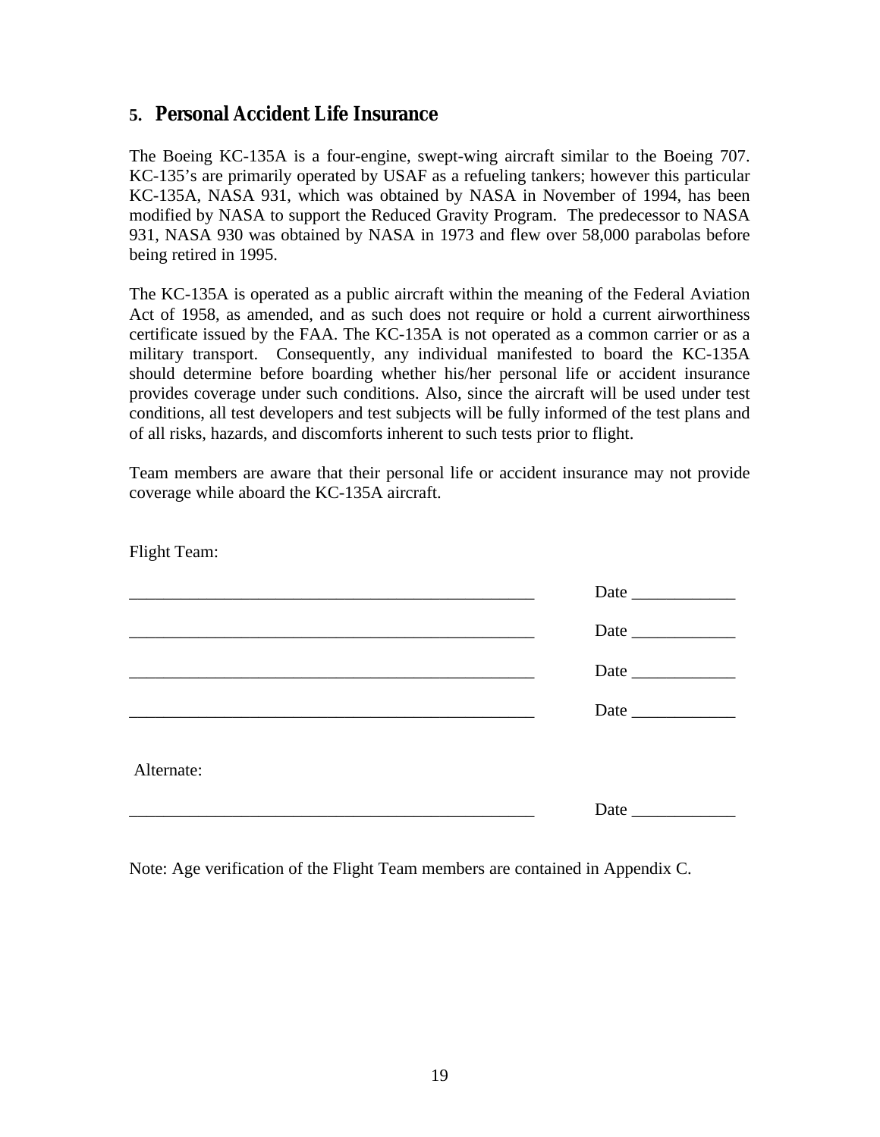### **5. Personal Accident Life Insurance**

The Boeing KC-135A is a four-engine, swept-wing aircraft similar to the Boeing 707. KC-135's are primarily operated by USAF as a refueling tankers; however this particular KC-135A, NASA 931, which was obtained by NASA in November of 1994, has been modified by NASA to support the Reduced Gravity Program. The predecessor to NASA 931, NASA 930 was obtained by NASA in 1973 and flew over 58,000 parabolas before being retired in 1995.

The KC-135A is operated as a public aircraft within the meaning of the Federal Aviation Act of 1958, as amended, and as such does not require or hold a current airworthiness certificate issued by the FAA. The KC-135A is not operated as a common carrier or as a military transport. Consequently, any individual manifested to board the KC-135A should determine before boarding whether his/her personal life or accident insurance provides coverage under such conditions. Also, since the aircraft will be used under test conditions, all test developers and test subjects will be fully informed of the test plans and of all risks, hazards, and discomforts inherent to such tests prior to flight.

Team members are aware that their personal life or accident insurance may not provide coverage while aboard the KC-135A aircraft.

Flight Team:

|            | Date        |
|------------|-------------|
|            |             |
|            |             |
| Alternate: | Date $\_\_$ |

Note: Age verification of the Flight Team members are contained in Appendix C.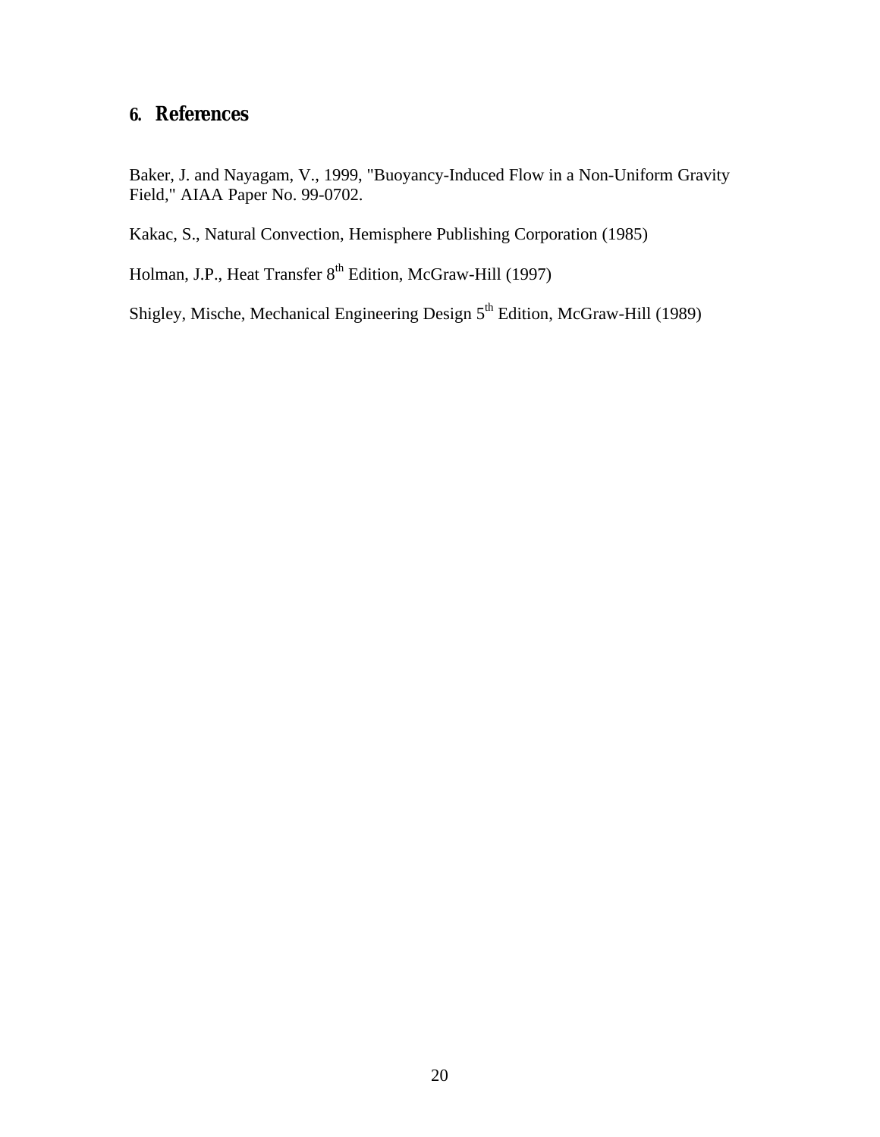### **6. References**

Baker, J. and Nayagam, V., 1999, "Buoyancy-Induced Flow in a Non-Uniform Gravity Field," AIAA Paper No. 99-0702.

Kakac, S., Natural Convection, Hemisphere Publishing Corporation (1985)

Holman, J.P., Heat Transfer 8<sup>th</sup> Edition, McGraw-Hill (1997)

Shigley, Mische, Mechanical Engineering Design 5<sup>th</sup> Edition, McGraw-Hill (1989)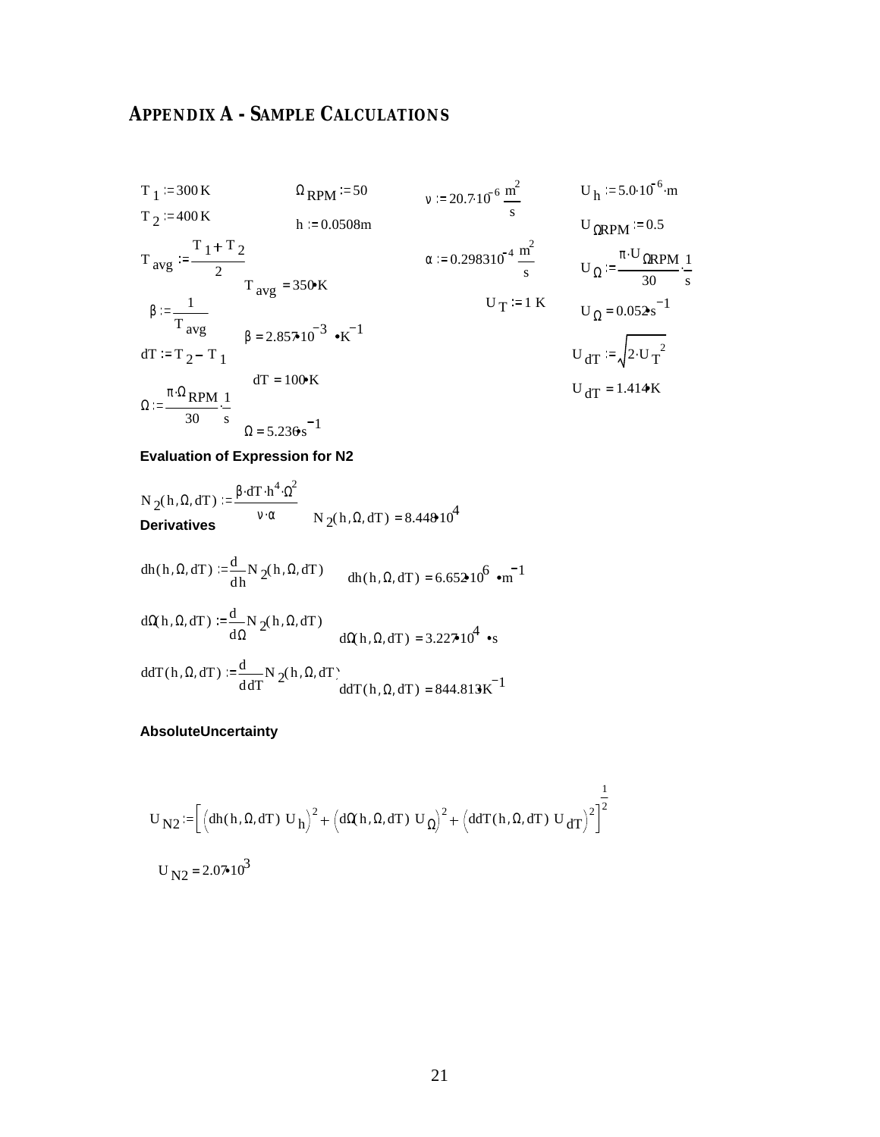### **APPENDIX A - SAMPLE CALCULATIONS**

T<sub>1</sub> := 300 K  
\nT<sub>2</sub> := 400 K  
\nT<sub>avg</sub> := 
$$
\frac{T_1 + T_2}{2}
$$
  
\nT<sub>avg</sub> = 350 K  
\n $\beta$  :=  $\frac{1}{T_{avg}}$   
\n $\beta$  = 2.85710<sup>-3</sup> •K<sup>-1</sup>  
\n $\alpha$  := 0.298310<sup>-4</sup> m<sup>2</sup>  
\n $U_T$  := 1 K  
\n $U_{\Omega}$  =  $\frac{\pi \cdot U_{\Omega} P M}{30}$   $\frac{1}{s}$   
\n $U_{\Omega}$  = 0.052 s<sup>-1</sup>  
\n $\alpha$  = 100 K  
\n $U_{\Omega}$  = 1.414 K  
\n $U_{\Omega}$  = 1.414 K

**Evaluation of Expression for N2**

$$
N_2(h, \Omega, dT) := \frac{\beta \cdot dT \cdot h^4 \cdot \Omega^2}{v \cdot \alpha}
$$
  
Derivatives  

$$
N_2(h, \Omega, dT) = 8.44910^4
$$

$$
\mathrm{dh}(\mathbf{h}, \boldsymbol{\Omega}, \mathrm{d}\mathbf{T}) := \frac{\mathrm{d}}{\mathrm{d}\mathbf{h}} \mathbf{N} \, \underline{\mathbf{y}}(\mathbf{h}, \boldsymbol{\Omega}, \mathrm{d}\mathbf{T}) \qquad \mathrm{d}\mathbf{h}(\mathbf{h}, \boldsymbol{\Omega}, \mathrm{d}\mathbf{T}) = 6.652 \mathbf{10}^6 \cdot \mathrm{m}^{-1}
$$

$$
d\Omega(h, \Omega, dT) := \frac{d}{d\Omega} N_2(h, \Omega, dT) \nd\Omega(h, \Omega, dT) = 3.22710^4 \cdot s
$$

$$
ddT(h, \Omega, dT) := \frac{d}{ddT} N_2(h, \Omega, dT) \frac{d}{d} T(h, \Omega, dT) = 844.813 \text{K}^{-1}
$$

**AbsoluteUncertainty**

$$
U_{N2} := \left[ \left( dh(h, \Omega, dT) U_h \right)^2 + \left( d\Omega h, \Omega, dT) U_{\Omega} \right)^2 + \left( ddT(h, \Omega, dT) U_{dT} \right)^2 \right]^{\frac{1}{2}}
$$
  

$$
U_{N2} = 2.0710^3
$$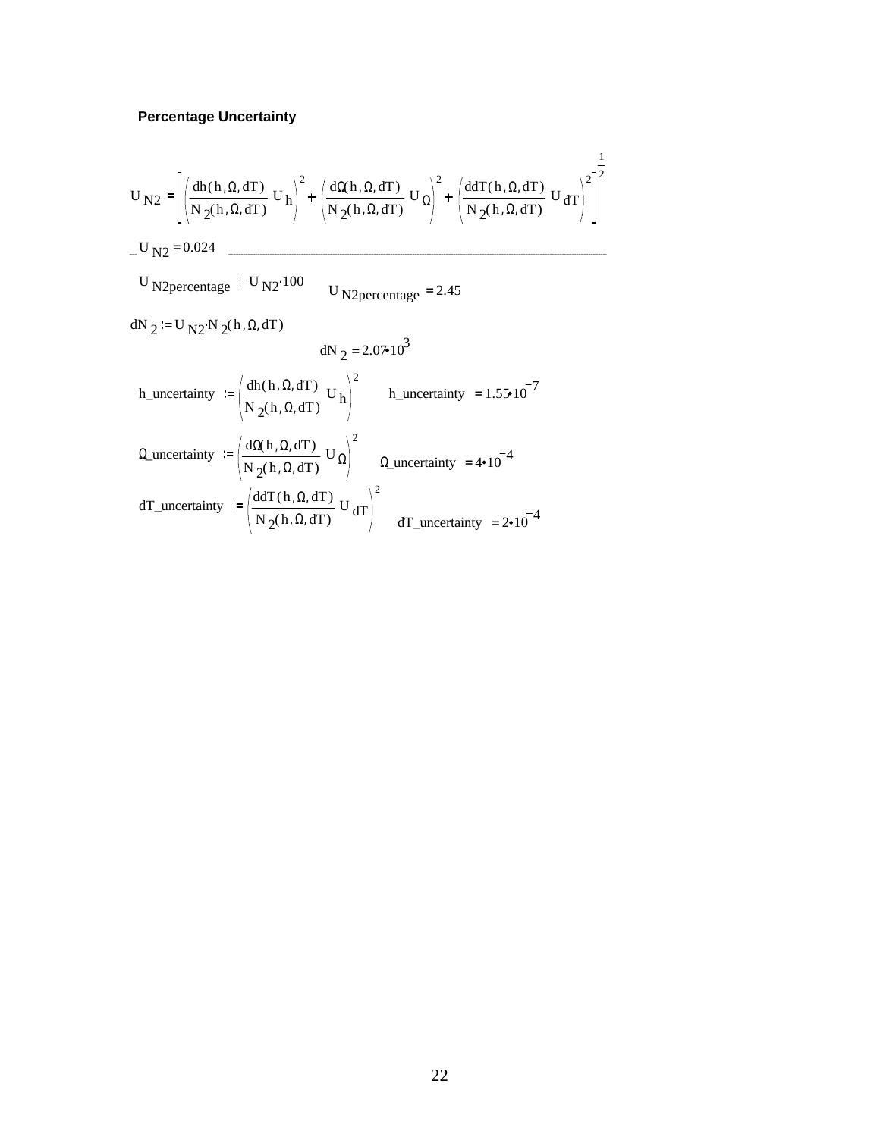### **Percentage Uncertainty**

$$
U_{N2} := \left[ \left( \frac{dh(h, \Omega, dT)}{N_2(h, \Omega, dT)} U_h \right)^2 + \left( \frac{d\Omega(h, \Omega, dT)}{N_2(h, \Omega, dT)} U_{\Omega} \right)^2 + \left( \frac{ddT(h, \Omega, dT)}{N_2(h, \Omega, dT)} U_{\frac{dT}{2}} \right)^2 \right]^{\frac{1}{2}}
$$
  
- U<sub>N2</sub> = 0.024

$$
U_{\text{N2}percentage} := U_{\text{N2}} \cdot 100 \qquad U_{\text{N2}percentage} = 2.45
$$

$$
dN_2 = U_{N2}N_2(h, \Omega, dT)
$$

$$
dN_2 = 2.07 \cdot 10^3
$$
  
\nh\\_uncertainty :=  $\left(\frac{dh(h, \Omega, dT)}{N_2(h, \Omega, dT)} U_h\right)^2$  h\\_uncertainty = 1.55·10<sup>-7</sup>  
\n $\Omega_{\text{uncertainty}}$  :=  $\left(\frac{d\Omega(h, \Omega, dT)}{N_2(h, \Omega, dT)} U_{\Omega}\right)^2$   $\Omega_{\text{uncertainty}}$  = 4·10<sup>-4</sup>  
\n $dT_{\text{uncertainty}}$  :=  $\left(\frac{ddT(h, \Omega, dT)}{N_2(h, \Omega, dT)} U_{\text{d}T}\right)^2$   $dT_{\text{uncertainty}}$  = 2·10<sup>-4</sup>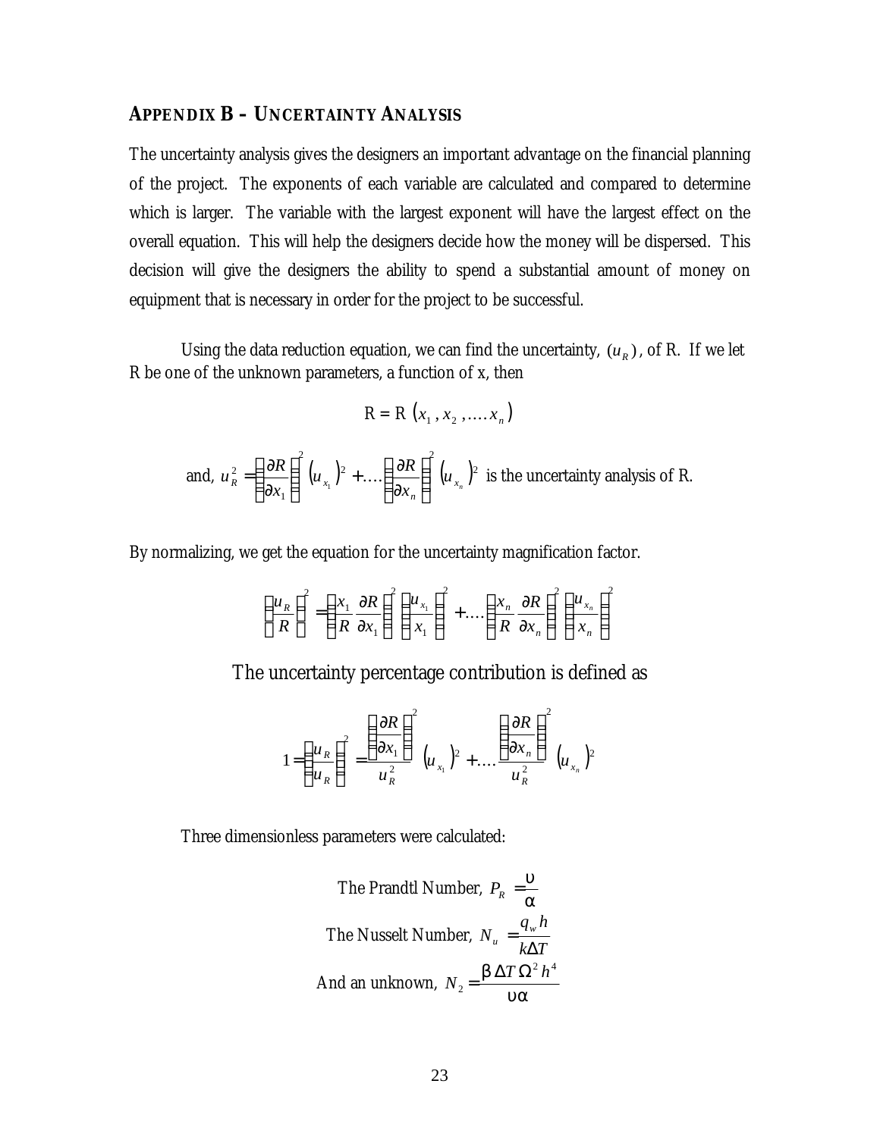#### **APPENDIX B – UNCERTAINTY ANALYSIS**

The uncertainty analysis gives the designers an important advantage on the financial planning of the project. The exponents of each variable are calculated and compared to determine which is larger. The variable with the largest exponent will have the largest effect on the overall equation. This will help the designers decide how the money will be dispersed. This decision will give the designers the ability to spend a substantial amount of money on equipment that is necessary in order for the project to be successful.

Using the data reduction equation, we can find the uncertainty,  $(u_R)$ , of R. If we let R be one of the unknown parameters, a function of x, then

$$
\mathbf{R} = \mathbf{R} \left( x_1, x_2, \dots, x_n \right)
$$

and, 
$$
u_R^2 = \left(\frac{\partial R}{\partial x_1}\right)^2 (u_{x_1})^2 + \dots + \left(\frac{\partial R}{\partial x_n}\right)^2 (u_{x_n})^2
$$
 is the uncertainty analysis of R.

By normalizing, we get the equation for the uncertainty magnification factor.

$$
\left(\frac{u_R}{R}\right)^2 = \left(\frac{x_1}{R}\frac{\partial R}{\partial x_1}\right)^2 \left(\frac{u_{x_1}}{x_1}\right)^2 + \dots + \left(\frac{x_n}{R}\frac{\partial R}{\partial x_n}\right)^2 \left(\frac{u_{x_n}}{x_n}\right)^2
$$

The uncertainty percentage contribution is defined as

$$
1 = \left(\frac{u_R}{u_R}\right)^2 = \frac{\left(\frac{\partial R}{\partial x_1}\right)^2}{u_R^2} \left(u_{x_1}\right)^2 + \dots + \frac{\left(\frac{\partial R}{\partial x_n}\right)^2}{u_R^2} \left(u_{x_n}\right)^2
$$

Three dimensionless parameters were calculated:

The Prandtl Number, 
$$
P_R = \frac{u}{a}
$$
  
The Nusselt Number,  $N_u = \frac{q_w h}{k\Delta T}$   
And an unknown,  $N_2 = \frac{b \Delta T \Omega^2 h^4}{ua}$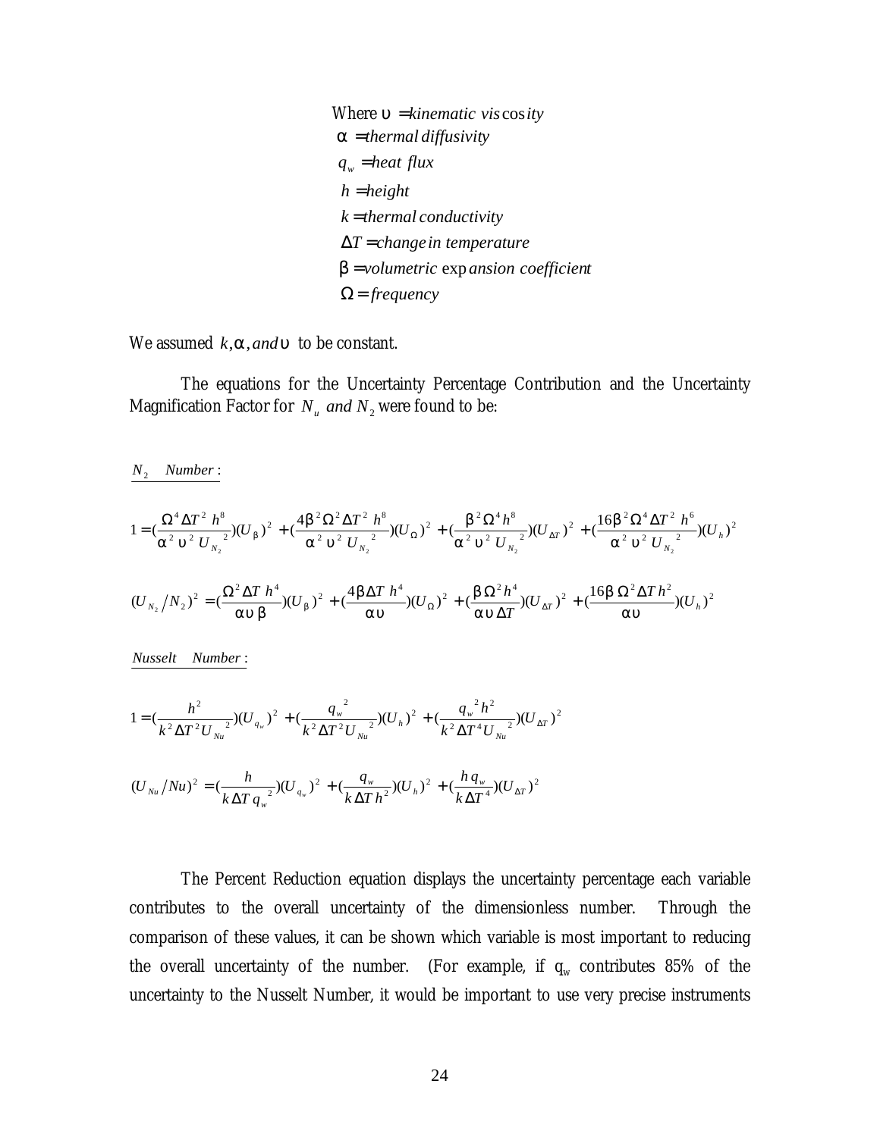Where *u* =*kinematic vis* cos*ity frequency* Ω= *b*=volumetric expansion coefficient  $ΔT = change in$  *temperature*  $k =$ *thermal conductivity h* = *height*  $q_w$  = *heat flux thermal diffusivity* = *a*

We assumed *k*,*a*,*andu* to be constant.

The equations for the Uncertainty Percentage Contribution and the Uncertainty Magnification Factor for  $\,N_{\rm u} \,$  *and*  $N_{\rm 2}$  were found to be:

2 : *N Number*

$$
1 = \left(\frac{\Omega^4 \Delta T^2 h^8}{a^2 u^2 U_{N_2}}\right) (U_b)^2 + \left(\frac{4b^2 \Omega^2 \Delta T^2 h^8}{a^2 u^2 U_{N_2}}\right) (U_{\Omega})^2 + \left(\frac{b^2 \Omega^4 h^8}{a^2 u^2 U_{N_2}}\right) (U_{\Delta T})^2 + \left(\frac{16b^2 \Omega^4 \Delta T^2 h^6}{a^2 u^2 U_{N_2}}\right) (U_h)^2
$$
  

$$
(U_{N_2}/N_2)^2 = \left(\frac{\Omega^2 \Delta T h^4}{au b}\right) (U_b)^2 + \left(\frac{4b \Delta T h^4}{au}\right) (U_{\Omega})^2 + \left(\frac{b \Omega^2 h^4}{au \Delta T}\right) (U_{\Delta T})^2 + \left(\frac{16b \Omega^2 \Delta T h^2}{au}\right) (U_h)^2
$$

: *Nusselt Number*

$$
1 = \left(\frac{h^2}{k^2 \Delta T^2 U_{Nu}^2}\right) (U_{q_w})^2 + \left(\frac{q_w^2}{k^2 \Delta T^2 U_{Nu}^2}\right) (U_h)^2 + \left(\frac{q_w^2 h^2}{k^2 \Delta T^4 U_{Nu}^2}\right) (U_{\Delta T})^2
$$
  

$$
(U_{Nu}/Nu)^2 = \left(\frac{h}{k \Delta T q_w^2}\right) (U_{q_w})^2 + \left(\frac{q_w}{k \Delta T h^2}\right) (U_h)^2 + \left(\frac{h q_w}{k \Delta T^4}\right) (U_{\Delta T})^2
$$

2

*w*

 $k \Delta T q$ 

Δ

2

 $k \Delta T h$ 

Δ

The Percent Reduction equation displays the uncertainty percentage each variable contributes to the overall uncertainty of the dimensionless number. Through the comparison of these values, it can be shown which variable is most important to reducing the overall uncertainty of the number. (For example, if 
$$
q_w
$$
 contributes 85% of the uncertainty to the Nusselt Number, it would be to use very precise instruments.

4

 $k \Delta T$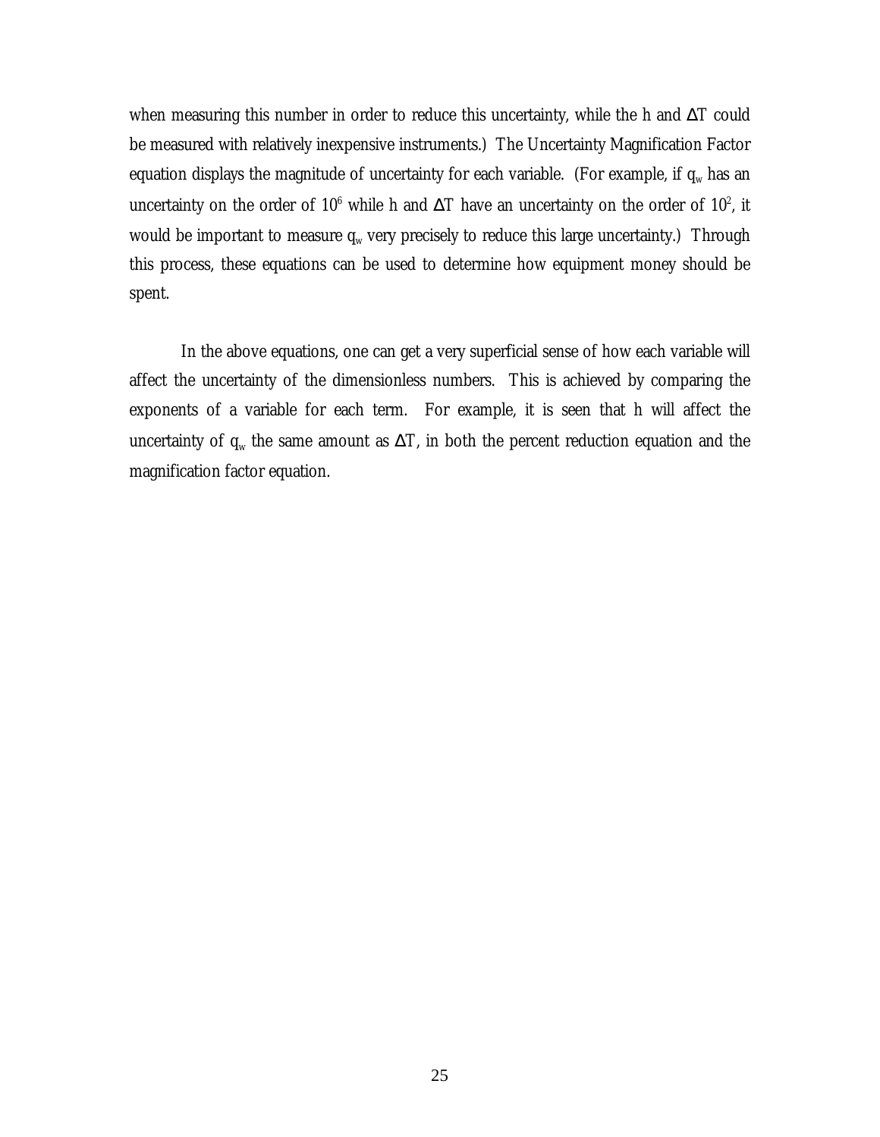when measuring this number in order to reduce this uncertainty, while the h and ΔT could be measured with relatively inexpensive instruments.) The Uncertainty Magnification Factor equation displays the magnitude of uncertainty for each variable. (For example, if  $\mathbf{q}_\mathrm{w}$  has an uncertainty on the order of  $10^6$  while h and  $\Delta T$  have an uncertainty on the order of  $10^2$ , it would be important to measure  $\mathsf{q}_\mathrm{w}$  very precisely to reduce this large uncertainty.) Through this process, these equations can be used to determine how equipment money should be spent.

In the above equations, one can get a very superficial sense of how each variable will affect the uncertainty of the dimensionless numbers. This is achieved by comparing the exponents of a variable for each term. For example, it is seen that h will affect the uncertainty of  $q_w$  the same amount as  $\Delta T$ , in both the percent reduction equation and the magnification factor equation.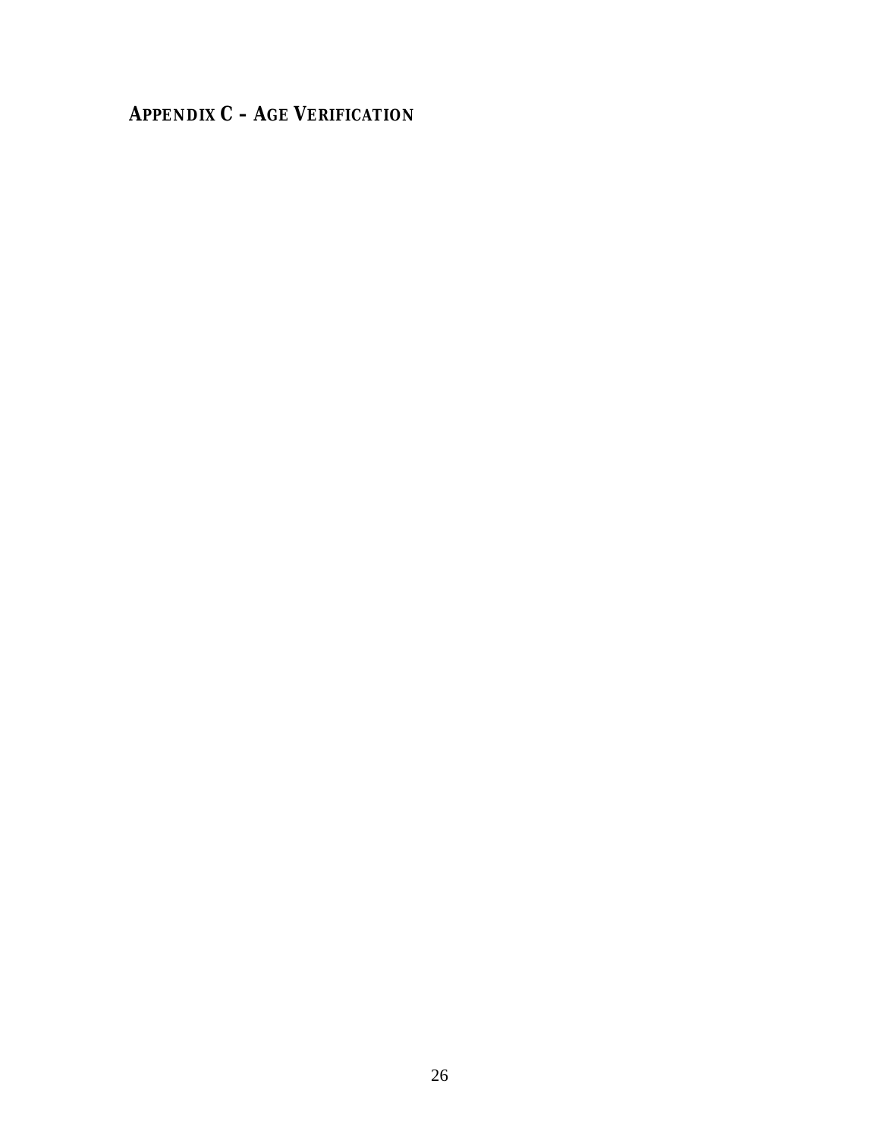# **APPENDIX C – AGE VERIFICATION**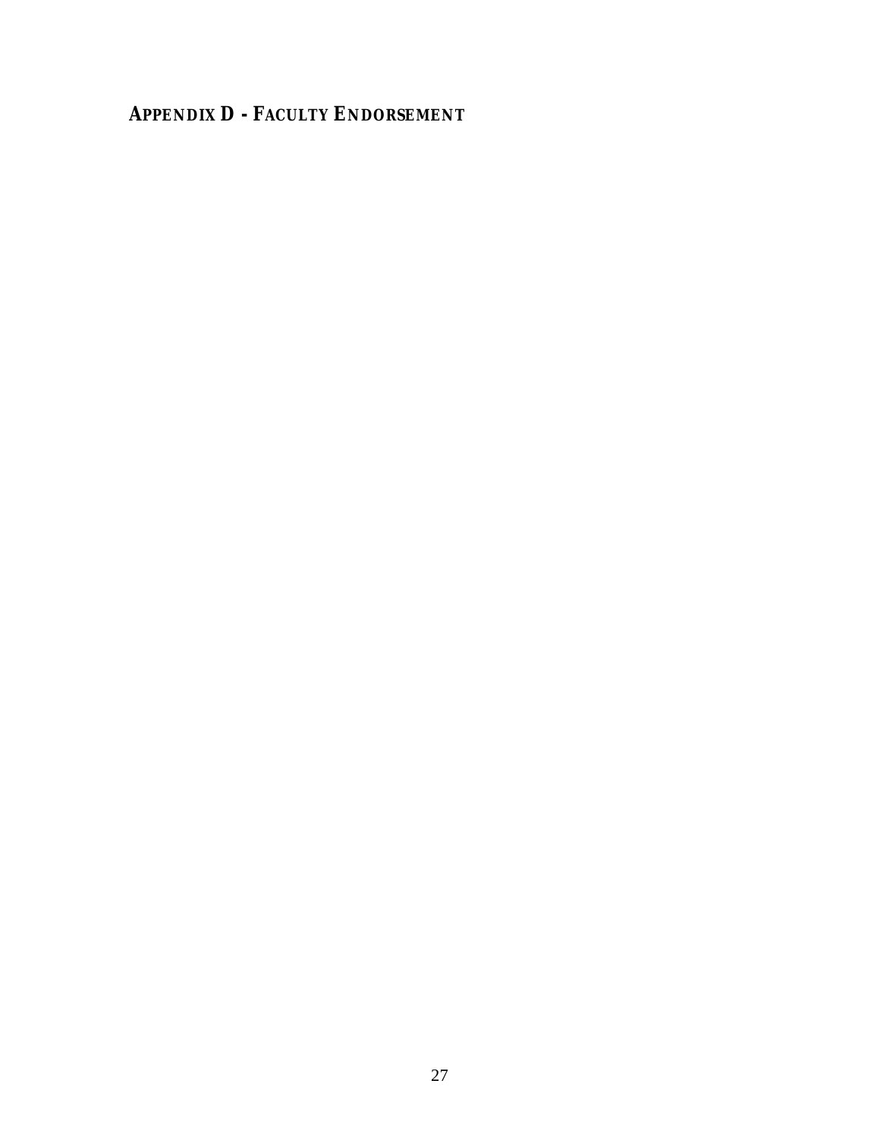# **APPENDIX D - FACULTY ENDORSEMENT**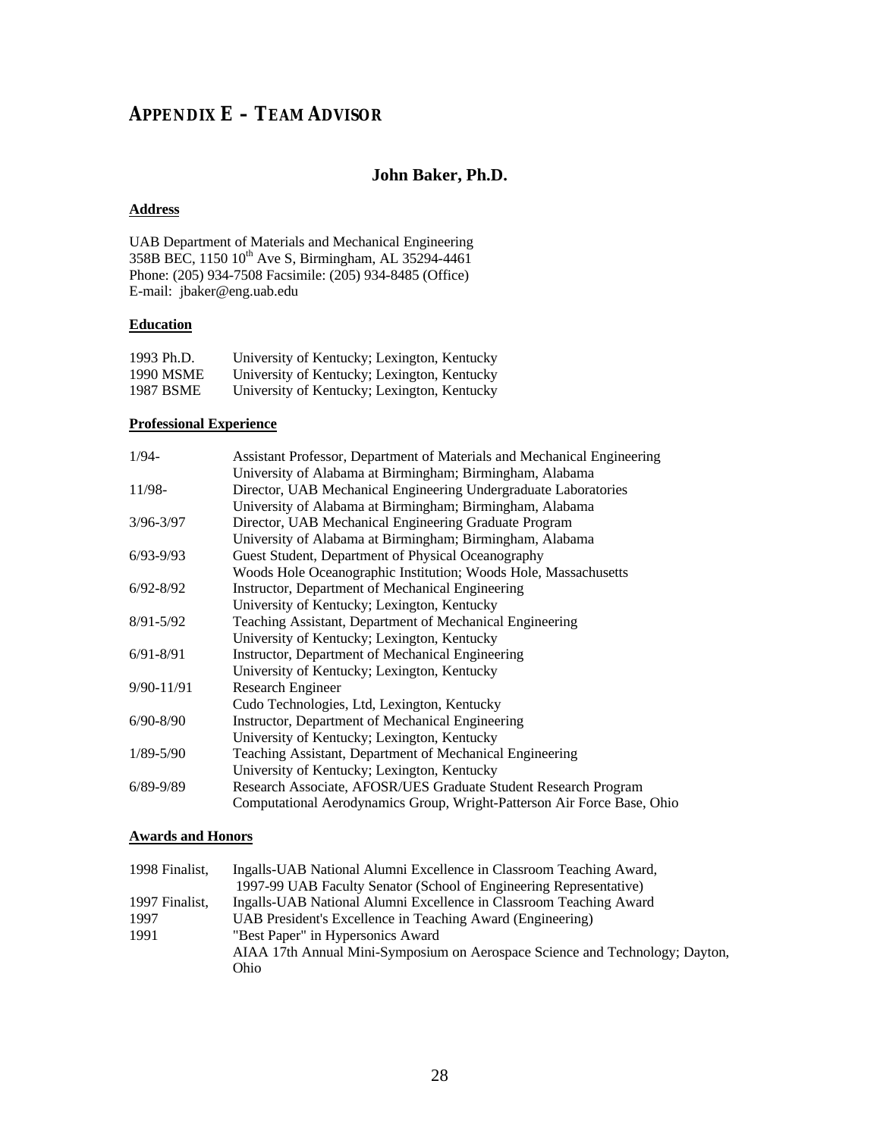### **APPENDIX E – TEAM ADVISOR**

### **John Baker, Ph.D.**

#### **Address**

UAB Department of Materials and Mechanical Engineering 358B BEC, 1150 10<sup>th</sup> Ave S, Birmingham, AL 35294-4461 Phone: (205) 934-7508 Facsimile: (205) 934-8485 (Office) E-mail: jbaker@eng.uab.edu

#### **Education**

| 1993 Ph.D. | University of Kentucky; Lexington, Kentucky |
|------------|---------------------------------------------|
| 1990 MSME  | University of Kentucky; Lexington, Kentucky |
| 1987 BSME  | University of Kentucky; Lexington, Kentucky |

#### **Professional Experience**

| $1/94-$       | Assistant Professor, Department of Materials and Mechanical Engineering |
|---------------|-------------------------------------------------------------------------|
|               | University of Alabama at Birmingham; Birmingham, Alabama                |
| $11/98-$      | Director, UAB Mechanical Engineering Undergraduate Laboratories         |
|               | University of Alabama at Birmingham; Birmingham, Alabama                |
| $3/96 - 3/97$ | Director, UAB Mechanical Engineering Graduate Program                   |
|               | University of Alabama at Birmingham; Birmingham, Alabama                |
| $6/93 - 9/93$ | Guest Student, Department of Physical Oceanography                      |
|               | Woods Hole Oceanographic Institution; Woods Hole, Massachusetts         |
| $6/92 - 8/92$ | Instructor, Department of Mechanical Engineering                        |
|               | University of Kentucky; Lexington, Kentucky                             |
| $8/91 - 5/92$ | Teaching Assistant, Department of Mechanical Engineering                |
|               | University of Kentucky; Lexington, Kentucky                             |
| $6/91 - 8/91$ | Instructor, Department of Mechanical Engineering                        |
|               | University of Kentucky; Lexington, Kentucky                             |
| 9/90-11/91    | Research Engineer                                                       |
|               | Cudo Technologies, Ltd, Lexington, Kentucky                             |
| $6/90 - 8/90$ | Instructor, Department of Mechanical Engineering                        |
|               | University of Kentucky; Lexington, Kentucky                             |
| $1/89 - 5/90$ | Teaching Assistant, Department of Mechanical Engineering                |
|               | University of Kentucky; Lexington, Kentucky                             |
| $6/89 - 9/89$ | Research Associate, AFOSR/UES Graduate Student Research Program         |
|               | Computational Aerodynamics Group, Wright-Patterson Air Force Base, Ohio |

#### **Awards and Honors**

| 1998 Finalist. | Ingalls-UAB National Alumni Excellence in Classroom Teaching Award,          |
|----------------|------------------------------------------------------------------------------|
|                | 1997-99 UAB Faculty Senator (School of Engineering Representative)           |
| 1997 Finalist. | Ingalls-UAB National Alumni Excellence in Classroom Teaching Award           |
| 1997           | UAB President's Excellence in Teaching Award (Engineering)                   |
| 1991           | "Best Paper" in Hypersonics Award                                            |
|                | AIAA 17th Annual Mini-Symposium on Aerospace Science and Technology; Dayton, |
|                | Ohio                                                                         |